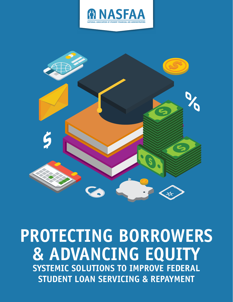



# **PROTECTING BORROWERS & ADVANCING EQUITY SYSTEMIC SOLUTIONS TO IMPROVE FEDERAL STUDENT LOAN SERVICING & REPAYMENT**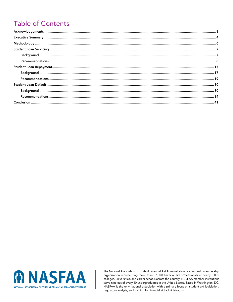# **Table of Contents**



The National Association of Student Financial Aid Administrators is a nonprofit membership organization representing more than 32,000 financial aid professionals at nearly 3,000 colleges, universities, and career schools across the country. NASFAA member institutions serve nine out of every 10 undergraduates in the United States. Based in Washington, DC, NASFAA is the only national association with a primary focus on student aid legislation, regulatory analysis, and training for financial aid administrators.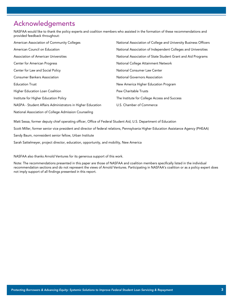# Acknowledgements

NASFAA would like to thank the policy experts and coalition members who assisted in the formation of these recommendations and provided feedback throughout:

| American Association of Community Colleges                 | National Association of College and University Business Officers |
|------------------------------------------------------------|------------------------------------------------------------------|
| American Council on Education                              | National Association of Independent Colleges and Universities    |
| Association of American Universities                       | National Association of State Student Grant and Aid Programs     |
| <b>Center for American Progress</b>                        | National College Attainment Network                              |
| Center for Law and Social Policy                           | National Consumer Law Center                                     |
| <b>Consumer Bankers Association</b>                        | National Governors Association                                   |
| <b>Education Trust</b>                                     | New America Higher Education Program                             |
| Higher Education Loan Coalition                            | <b>Pew Charitable Trusts</b>                                     |
| Institute for Higher Education Policy                      | The Institute for College Access and Success                     |
| NASPA - Student Affairs Administrators in Higher Education | U.S. Chamber of Commerce                                         |
|                                                            |                                                                  |

National Association of College Admission Counseling

Matt Sessa, former deputy chief operating officer, Office of Federal Student Aid, U.S. Department of Education

Scott Miller, former senior vice president and director of federal relations, Pennsylvania Higher Education Assistance Agency (PHEAA)

Sandy Baum, nonresident senior fellow, Urban Institute

Sarah Sattelmeyer, project director, education, opportunity, and mobility, New America

NASFAA also thanks Arnold Ventures for its generous support of this work.

Note: The recommendations presented in this paper are those of NASFAA and coalition members specifically listed in the individual recommendation sections and do not represent the views of Arnold Ventures. Participating in NASFAA's coalition or as a policy expert does not imply support of all findings presented in this report.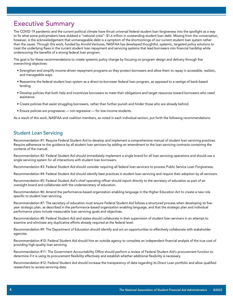# Executive Summary

The COVID-19 pandemic and the current political climate have thrust universal federal student loan forgiveness into the spotlight as a way to fix what some policymakers have dubbed a "national crisis": \$1.6 trillion in outstanding student loan debt. Missing from the conversation, however, is the acknowledgement that unmanageable debt is a symptom of the shortcomings of our current student loan system rather than the cause. Through this work, funded by Arnold Ventures, NASFAA has developed thoughtful, systemic, targeted policy solutions to treat the underlying flaws in the current student loan repayment and servicing systems that lead borrowers into financial hardship while underscoring the benefits of a strong federal loan program.

The goal is for these recommendations to create systemic policy change by focusing on program design and delivery through five overarching objectives:

- Strengthen and simplify income-driven repayment programs so they protect borrowers and allow them to repay in accessible, realistic, and manageable ways.
- Reexamine the federal student loan system as a direct-to-borrower federal loan program, as opposed to a vestige of bank-based lending.
- Develop policies that both help and incentivize borrowers to meet their obligations and target resources toward borrowers who need assistance.
- Create policies that assist struggling borrowers, rather than further punish and hinder those who are already behind.
- Ensure policies are progressive not regressive for low-income students.

As a result of this work, NASFAA and coalition members, as noted in each individual section, put forth the following recommendations:

### Student Loan Servicing

Recommendation #1: Require Federal Student Aid to develop and implement a comprehensive manual of student loan servicing practices. Require adherence to the guidance by all student loan servicers by adding an amendment to the loan servicing contracts containing the contents of the manual.

Recommendation #2: Federal Student Aid should immediately implement a single brand for all loan servicing operations and should use a single servicing system for all interactions with student loan borrowers.

Recommendation #3: Federal Student Aid should consider requiring all federal loan servicers to process Public Service Loan Forgiveness.

Recommendation #4: Federal Student Aid should identify best practices in student loan servicing and require their adoption by all servicers.

Recommendation #5: Federal Student Aid's chief operating officer should report directly to the secretary of education as part of an oversight board and collaborate with the undersecretary of education.

Recommendation #6: Amend the performance-based organization enabling language in the Higher Education Act to create a new role specific to student loan servicing.

Recommendation #7: The secretary of education must ensure Federal Student Aid follows a structured process when developing its fiveyear strategic plan, as described in the performance-based organization enabling language, and that the strategic plan and individual performance plans include measurable loan servicing goals and objectives.

Recommendation #8: Federal Student Aid and states should collaborate in their supervision of student loan servicers in an attempt to examine and eliminate any duplicative efforts already required at the federal level.

Recommendation #9: The Department of Education should identify and act on opportunities to effectively collaborate with stakeholder agencies.

Recommendation #10: Federal Student Aid should hire an outside agency to complete an independent financial analysis of the true cost of providing high-quality loan servicing.

Recommendation #11: The Government Accountability Office should perform a review of Federal Student Aid's procurement function to determine if it is using its procurement flexibility effectively and establish whether additional flexibility is necessary.

Recommendation #12: Federal Student Aid should increase the transparency of data regarding its Direct Loan portfolio and allow qualified researchers to access servicing data.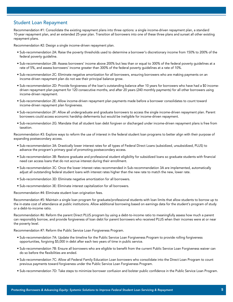### Student Loan Repayment

Recommendation #1: Consolidate the existing repayment plans into three options: a single income-driven repayment plan, a standard 10-year repayment plan, and an extended 25-year plan. Transition all borrowers into one of these three plans and sunset all other existing repayment plans.

Recommendation #2: Design a single income-driven repayment plan.

- Sub-recommendation 2A: Raise the poverty thresholds used to determine a borrower's discretionary income from 150% to 200% of the federal poverty guideline.
- Sub-recommendation 2B: Assess borrowers' income above 200% but less than or equal to 300% of the federal poverty guidelines at a rate of 5%, and assess borrowers' income greater than 300% of the federal poverty guidelines at a rate of 10%.
- Sub-recommendation 2C: Eliminate negative amortization for all borrowers, ensuring borrowers who are making payments on an income-driven repayment plan do not see their principal balance grow.
- Sub-recommendation 2D: Provide forgiveness of the loan's outstanding balance after 10 years for borrowers who have had a \$0 incomedriven repayment plan payment for 120 consecutive months, and after 20 years (240 monthly payments) for all other borrowers using income-driven repayment.
- Sub-recommendation 2E: Allow income-driven repayment plan payments made before a borrower consolidates to count toward income-driven repayment plan forgiveness.
- Sub-recommendation 2F: Allow all undergraduate and graduate borrowers to access the single income-driven repayment plan. Parent borrowers could access economic hardship deferments but would be ineligible for income-driven repayment.
- Sub-recommendation 2G: Mandate that all student loan debt forgiven or discharged under income-driven repayment plans is free from taxation.

Recommendation #3: Explore ways to reform the use of interest in the federal student loan programs to better align with their purpose of expanding postsecondary access.

- Sub-recommendation 3A: Drastically lower interest rates for all types of Federal Direct Loans (subsidized, unsubsidized, PLUS) to advance the program's primary goal of promoting postsecondary access.
- Sub-recommendation 3B: Restore graduate and professional student eligibility for subsidized loans so graduate students with financial need can access loans that do not accrue interest during their enrollment.
- Sub-recommendation 3C: Once the lower interest rates recommended in Sub-recommendation 3A are implemented, automatically adjust all outstanding federal student loans with interest rates higher than the new rate to match the new, lower rate.
- Sub-recommendation 3D: Eliminate negative amortization for all borrowers.
- Sub-recommendation 3E: Eliminate interest capitalization for all borrowers.

Recommendation #4: Eliminate student loan origination fees.

Recommendation #5: Maintain a single loan program for graduate/professional students with loan limits that allow students to borrow up to the in-state cost of attendance at public institutions. Allow additional borrowing based on earnings data for the student's program of study or a debt-to-income ratio.

Recommendation #6: Reform the parent Direct PLUS program by using a debt-to-income ratio to meaningfully assess how much a parent can responsibly borrow, and provide forgiveness of loan debt for parent borrowers who received PLUS when their incomes were at or near the poverty level.

Recommendation #7: Reform the Public Service Loan Forgiveness Program.

- Sub-recommendation 7A: Update the timeline for the Public Service Loan Forgiveness Program to provide rolling forgiveness opportunities, forgiving \$5,000 in debt after each two years of time in public service.
- Sub-recommendation 7B: Ensure all borrowers who are eligible to benefit from the current Public Service Loan Forgiveness waiver can do so before the flexibilities are ended.
- Sub-recommendation 7C: Allow all Federal Family Education Loan borrowers who consolidate into the Direct Loan Program to count previous payments toward forgiveness under the Public Service Loan Forgiveness Program.
- Sub-recommendation 7D: Take steps to minimize borrower confusion and bolster public confidence in the Public Service Loan Program.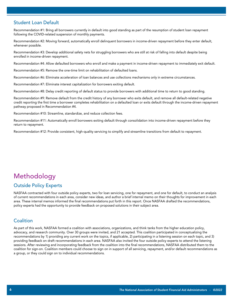### Student Loan Default

Recommendation #1: Bring all borrowers currently in default into good standing as part of the resumption of student loan repayment following the COVID-related suspension of monthly payments.

Recommendation #2: Moving forward, automatically enroll delinquent borrowers in income-driven repayment before they enter default, whenever possible.

Recommendation #3: Develop additional safety nets for struggling borrowers who are still at risk of falling into default despite being enrolled in income-driven repayment.

Recommendation #4: Allow defaulted borrowers who enroll and make a payment in income-driven repayment to immediately exit default.

Recommendation #5: Remove the one-time limit on rehabilitation of defaulted loans.

Recommendation #6: Eliminate acceleration of loan balances and use collections mechanisms only in extreme circumstances.

Recommendation #7: Eliminate interest capitalization for borrowers exiting default.

Recommendation #8: Delay credit reporting of default status to provide borrowers with additional time to return to good standing.

Recommendation #9: Remove default from the credit history of any borrower who exits default, and remove all default-related negative credit reporting the first time a borrower completes rehabilitation on a defaulted loan or exits default through the income-driven repayment pathway proposed in Recommendation #4.

Recommendation #10: Streamline, standardize, and reduce collection fees.

Recommendation #11: Automatically enroll borrowers exiting default through consolidation into income-driven repayment before they return to repayment.

Recommendation #12: Provide consistent, high-quality servicing to simplify and streamline transitions from default to repayment.

# Methodology

### Outside Policy Experts

NASFAA contracted with four outside policy experts, two for loan servicing, one for repayment, and one for default, to conduct an analysis of current recommendations in each area, consider new ideas, and author a brief internal memo on their thoughts for improvement in each area. These internal memos informed the final recommendations put forth in this report. Once NASFAA drafted the recommendations, policy experts had the opportunity to provide feedback on proposed solutions in their subject area.

### **Coalition**

As part of this work, NASFAA formed a coalition with associations, organizations, and think tanks from the higher education policy, advocacy, and research community. Over 30 groups were invited, and 21 accepted. This coalition participated in conceptualizing the recommendations by 1) providing any current work on the topics, if applicable, 2) participating in a listening session on each topic, and 3) providing feedback on draft recommendations in each area. NASFAA also invited the four outside policy experts to attend the listening sessions. After reviewing and incorporating feedback from the coalition into the final recommendations, NASFAA distributed them to the coalition for sign-on. Coalition members could choose to sign on in support of all servicing, repayment, and/or default recommendations as a group, or they could sign on to individual recommendations.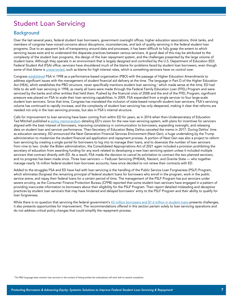# Student Loan Servicing

# **Background**

Over the last several years, federal student loan borrowers, government oversight offices, higher education associations, think tanks, and members of congress have voiced concerns about disruptions, inconsistencies, and lack of quality servicing in the federal student loan programs. Due to an apparent lack of transparency around data and processes, it has been difficult to fully grasp the extent to which servicing issues exist and to understand the disparate practices between various servicers. A good deal of this may be attributed to the complexity of the student loan programs, the design of the loan repayment system, and the challenges presented by the large volume of student loans. Although they operate in an environment that is largely designed and controlled by the U.S. Department of Education (ED) Federal Student Aid (FSA) office, servicers have shouldered much of the blame for problems faced by student loan borrowers, even though some of that blame is [unwarranted,](https://www.thirdway.org/report/getting-it-right-design-principles-for-student-loan-servicing-reform) such as blame for high interest rates, which is something servicers have no control over.

Congress [established](https://crsreports.congress.gov/product/pdf/R/R46143) FSA in 1998 as a performance-based organization (PBO) with the passage of Higher Education Amendments to address significant issues with the management of student financial aid delivery at the time. The language in Part D of the Higher Education Act (HEA), which establishes the PBO structure, never specifically mentions student loan servicing,<sup>1</sup> which made sense at the time; ED had little to do with loan servicing in 1998, as nearly all loans were made through the Federal Family Education Loan (FFEL) Program and were serviced by the banks and other entities that held them. Pushed by the financial crisis of 2008 and the end of the FFEL Program, significant pressure was placed on FSA to scale their loan servicing capabilities. In 2009, FSA expanded from a single servicer to four large-scale student loan servicers. Since that time, Congress has mandated the inclusion of state-based nonprofit student loan servicers, FSA's servicing volume has continued to rapidly increase, and the complexity of student loan servicing has only deepened, making it clear that reforms are needed not only in the loan servicing process, but also in FSA's internal structure.

Calls for improvement to loan servicing have been coming from within ED for years, as in 2016 when then-Undersecretary of Education Ted Mitchell published a [policy memorandum](https://www2.ed.gov/documents/press-releases/loan-servicing-policy-memo.pdf) detailing ED's vision for the new loan servicing system, with plans for incentives for servicers aligned with the best interest of borrowers, improving consistency in communication to borrowers, expanding oversight, and releasing data on student loan and servicer performance. Then-Secretary of Education Betsy DeVos canceled the memo in 2017. During DeVos' time as education secretary, ED announced the Next Generation Financial Services Environment (Next Gen), a huge undertaking by the Trump administration to modernize the student financial aid application and repayment process. A portion of Next Gen was also a project to reform loan servicing by creating a single portal for borrowers to log into to manage their loans, and to downsize the number of loan servicers from nine to two. Under the Biden administration, the Consolidated Appropriations Act of 2021 again included a provision prohibiting the secretary of education from awarding funding for any work related to developing a new loan servicing system unless it included multiple servicers that contract directly with ED. As a result, FSA made the decision to cancel its solicitation to contract the two planned servicers, and no progress has been made since. Three loan servicers — FedLoan Servicing (PHEAA), Navient, and Granite State — who together manage nearly 16 million federal student loan borrower accounts, have since decided to not renew their contracts with ED.

Added to the struggles FSA and ED have had with loan servicing is the handling of the Public Service Loan Forgiveness (PSLF) Program, which eliminates (forgives) the remaining principal of federal student loans for borrowers who enroll in the program, work in the public service arena, and repay their federal loans for a certain period of time. The management of the PSLF Program has put servicers under severe scrutiny, as the Consumer Finance Protection Bureau (CFPB) reported that some student loan servicers have engaged in a pattern of providing inaccurate information to borrowers about their eligibility for the PSLF Program. Their report detailed misleading and deceptive practices by student loan servicers that may have hindered and delayed borrowers' entry to the PSLF Program and their ability to qualify for loan forgiveness.

While there is no question that servicing the federal government's [43 million borrowers and \\$1.6 trillion in student loans](https://studentaid.gov/data-center/student/portfolio) presents challenges, it also presents opportunities for improvement. The recommendations offered in this section pertain solely to loan servicing operations and do not address critical policy changes that could simplify the repayment process.

1 The PBO language does mention loan servicers in the context of listing entities the ombudsman will work with to resolve complaints.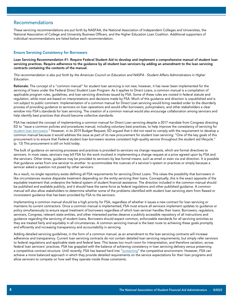### **Recommendations**

These servicing recommendations are put forth by NASFAA, the National Association of Independent Colleges and Universities, the National Association of College and University Business Officers, and the Higher Education Loan Coalition. Additional supporters of individual recommendations are listed below each recommendation.

#### Ensure Servicing Consistency for Borrowers

Loan Servicing Recommendation #1: Require Federal Student Aid to develop and implement a comprehensive manual of student loan servicing practices. Require adherence to the guidance by all student loan servicers by adding an amendment to the loan servicing contracts containing the contents of the manual.

*This recommendation is also put forth by the American Council on Education and NASPA - Student Affairs Administrators in Higher Education.*

Rationale: The concept of a "common manual" for student loan servicing is not new; however, it has never been implemented for the servicing of loans under the Federal Direct Student Loan Program. As it applies to Direct Loans, a common manual is a compilation of applicable program rules, guidelines, and loan servicing directives issued by FSA. Some of these rules are rooted in federal statute and regulation, while most are based on interpretations and decisions made by FSA. Much of this guidance and direction is unpublished and is not subject to public comment. Implementation of a common manual for Direct Loan servicing would bring needed order to the disorderly process of providing guidance to servicers on loan operations and would offer borrowers, policymakers, and other stakeholders a clear window into FSA's standards for loan servicing. The creation of a common manual would also encourage collaboration among servicers and help identify best practices that should become collective standards.

FSA has resisted the concept of implementing a common manual for Direct Loan servicing despite a 2017 mandate from Congress directing ED to "issue a common policies and procedures manual, including voluntary best practices, to help improve the consistency of servicing for [student loan borrowers](https://www.congress.gov/congressional-report/115th-congress/senate-report/150/1)." However, in its 2019 Budget Request, ED argued that it did not need to comply with the requirement to develop a common manual because it would address the issue as part of its new procurement for student loan servicing: "One of the key goals of this procurement is to ensure that Federal student loan borrowers receive consistent high-quality service throughout the student aid lifecycle." (p. 13) This procurement is still on hold today.

The bulk of guidance on servicing processes and practices is provided to servicers via change requests, which are formal directives to servicers. In most cases, servicers may bill FSA for the work involved in implementing a change request at a price agreed upon by FSA and the servicers. Other times, guidance may be provided to servicers by less formal means, such as email or even via oral direction. It is possible that guidance varies from one servicer to another to accommodate the nuances of a servicer's system or practices or simply because a servicer asked a question not posed by other servicers.

As a result, no single repository exists defining all FSA requirements for servicing Direct Loans. This raises the possibility that borrowers in like circumstances receive disparate treatment depending on the entity servicing their loans. Conceptually, this is the exact opposite of the equitable treatment that underpins the federal system of student financial assistance. The direction included in the common manual should be published and available publicly, and it should have the same force as federal regulations and other published guidance. A common manual will also allow stakeholders to determine whether some of the problems identified with student loan servicing stem from flawed or inconsistent guidance that has been provided by FSA to the servicers.

Implementing a common manual should be a high priority for FSA, regardless of whether it issues a new contract for loan servicing or maintains its current contractors. Once a common manual is implemented, FSA must ensure all servicers implement updates to guidance or policy simultaneously to ensure equal treatment of borrowers regardless of which loan servicer handles their loans. Borrowers, regulators, servicers, Congress, relevant state entities, and other interested parties deserve a publicly accessible repository of all instructions and guidance regarding the servicing of student loans. Borrowers should expect common, enforceable standards for all servicing activities so they are treated fairly and equitably in all circumstances. A common servicing manual is the best route to achieving these goals promptly and efficiently and increasing transparency and accountability in servicing.

Adding detailed servicing guidelines, in the form of a common manual, as an amendment to the loan servicing contracts will increase adherence and transparency. Current loan servicing contracts do not contain detailed loan servicing requirements, but simply refer servicers to federal regulations and applicable state and federal laws. This leaves too much room for interpretation, and therefore variation, across federal loan servicers' practices. FSA has grappled with the balance of achieving consistency in loan servicing delivery versus preserving a competitive contract structure. Until recently, FSA has leaned hard into "[protecting](https://www2.ed.gov/about/overview/budget/budget19/justifications/y-saa.pdf)" the competitive environment. However, FSA can achieve a more balanced approach in which they provide detailed requirements on the service expectations for their loan programs and allow servicers to compete on how well they operate inside those constraints.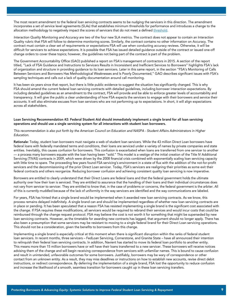The most recent amendment to the federal loan servicing contracts seems to be nudging the servicers in this direction. The amendment incorporates a set of service level agreements (SLAs) that establishes minimum thresholds for performance and introduces a change to the allocation methodology to negatively impact the scores of servicers that do not meet a defined [threshold.](https://www.sec.gov/Archives/edgar/data/1258602/000125860221000070/exhibit10209d0012_mod001.htm)

*Interaction Quality Monitoring and Accuracy* are two of the four new SLA metrics. The contract does not appear to contain an Interaction Quality rubric that FSA will follow to determine monitoring scores. Similarly, the contract contains no other information on Accuracy. The contract must contain a clear set of requirements or expectations FSA will use when conducting accuracy reviews. Otherwise, it will be difficult for servicers to achieve expectations. It is possible that FSA has issued detailed guidance outside of the contract or issued one-off change orders to cover these topics; however, the guidelines not being part of the contract is part of the problem.

The Government Accountability Office (GAO) published a report on FSA's management of contractors in 2015. A section of the report titled, "Lack of FSA Guidance and Instructions to Servicers Results in Inconsistent and Inefficient Services to Borrowers" highlights FSA's lack of organization and structure in providing guidance to its loan servicers. Later in this same report, in the section "FSA's Monitoring of Calls Between Servicers and Borrowers Has Methodological Weaknesses and Is Poorly Documented," GAO describes significant issues with FSA's sampling techniques and calls out a lack of quality documentation around call monitoring.

It has been six years since that report, but there is little public evidence to suggest the situation has significantly changed. This is why FSA should amend the current federal loan servicing contracts with detailed guidelines, including borrower interaction expectations. By including detailed guidelines as an amendment to the contract, FSA will provide and be able to enforce greater levels of accountability and transparency. It will give the public a clear understanding of how FSA expects the servicers to engage with their borrowers and service their accounts. It will also eliminate excuses from loan servicers who are not performing up to expectations. In short, it will align expectations across all stakeholders.

#### Loan Servicing Recommendation #2: Federal Student Aid should immediately implement a single brand for all loan servicing operations and should use a single servicing system for all interactions with student loan borrowers.

#### *This recommendation is also put forth by the American Council on Education and NASPA - Student Affairs Administrators in Higher Education.*

Rationale: Today, student loan borrowers must navigate a web of student loan servicers. While the 43 million Direct Loan borrowers have federal loans with federally mandated terms and conditions, their loans are serviced under a variety of names by private companies and state entities. Inevitably, this causes confusion for borrowers. This confusion is exacerbated when loans are transferred from one servicer to another — a process many borrowers equate with the loan having been "sold." This model is a vestige of the initial creation of the Title IV Additional Servicing (TIVAS) contracts in 2009, which were driven by the 2008 financial crisis combined with exponentially scaling loan servicing capacity with little time to spare. The proceeding few years found FSA servicing's environment in a state of flux with the addition of the not-for-profit servicers and the decommissioning of the prior Direct Loan servicer. Today, FSA's servicers are realigning their priorities as some exit their federal contracts and others reorganize. Reducing borrower confusion and achieving consistent quality loan servicing is now imperative.

Borrowers are entitled to clearly understand that their Direct Loans are federal loans and that the federal government holds the ultimate authority over how their loan is serviced. They are entitled to assurance that the handling of their loans and their individual circumstances does not vary from servicer to servicer. They are entitled to know that, in the case of problems or concerns, the federal government is the arbiter. All of this is currently muddled because of the lack of uniformity in the way servicers are identified and the way communications are labeled.

For years, FSA has hinted that a single brand would be implemented when it awarded new loan servicing contracts. As we know, this process remains delayed indefinitely. A single brand can and should be implemented regardless of whether new loan servicing contracts are in place or pending. It has been speculated that a reason FSA has resisted implementing a single brand is the significant cost associated with the change. If FSA requires these modifications, all servicers would be required to rebrand their services and would incur costs that could be reimbursed through the change request protocol. FSA may believe the cost is not worth it for something that might be superseded by new loan servicing contracts. However, as the timetable for awarding new contracts has lagged, that argument should no longer apply. There has also been a presumption that some servicers may be resistant to moving to a single federal brand for their Direct Loan servicing operations. This should not be a consideration, given the benefits to borrowers from this change.

Implementing a single brand is especially critical at this moment when there is significant disruption within the ranks of federal student loan servicers. In recent months, three servicers – FedLoan Servicing, Cornerstone, and Granite State – have all announced their intention to relinquish their federal loan servicing contracts. In addition, Navient has started to move its federal loan portfolio to another entity. This means more than 15 million borrowers have or will have their loans transferred to a new servicer. These borrowers will receive notices advising them of the change and will begin receiving correspondence from servicers with unfamiliar names. This is bound to cause confusion and result in unintended, unfavorable outcomes for some borrowers. Justifiably, borrowers may be wary of correspondence or other contact from an unknown entity. As a result, they may miss deadlines or instructions on how to establish new accounts, revise direct debit instructions, or redirect correspondence. By deferring the implementation of a single brand, FSA lost the opportunity to reduce confusion and increase the likelihood of a smooth, seamless transition for borrowers caught up in these loan servicing transfers.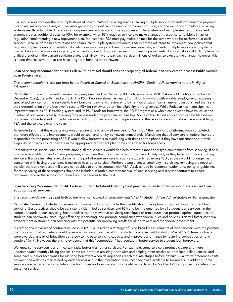FSA should also consider the cost implications of having multiple servicing brands. Having multiple servicing brands with multiple payment lockboxes, mailing addresses, and websites generates a significant amount of borrower confusion, and the existence of multiple servicing systems results in tangible differences among servicers in how accounts are processed. The existence of multiple servicing brands and systems creates additional costs for FSA, for example, when FSA requires servicers to make changes in response to revisions in law or regulation (implementing a new repayment plan, for instance), FSA must pay multiple times for the same work to be performed at each servicer. Because of the need to revise and reimburse multiple system providers, FSA might be reluctant to implement new policies that require complex revisions. In addition, it costs more on an ongoing basis to oversee, supervise, and audit multiple servicers and systems than it does a single provider or system, which in turn could introduce barriers to process improvements. As noted above, if FSA implements unified branding in the current servicing state, it will likely have to pay each servicer millions of dollars to execute the change. However, this is a one-time investment that can have long-term benefits for borrowers.

#### Loan Servicing Recommendation #3: Federal Student Aid should consider requiring all federal loan servicers to process Public Service Loan Forgiveness.

#### *This recommendation is also put forth by the American Council on Education and NASPA - Student Affairs Administrators in Higher Education.*

Rationale: Of the eight federal loan servicers, only one, FedLoan Servicing (PHEAA; soon to be MOHELA once PHEAA's contract ends December 2022), currently handles PSLF. The PSLF Program alone has nearly [1.3 million borrowers](https://studentaid.gov/data-center/student/loan-forgiveness/pslf-data) with eligible employment, requiring specialized service from the servicer to track borrower payments, review employment certification forms, answer questions, and then send their determination of the borrower's case to FSA for review to determine eligibility for forgiveness. While FedLoan has made significant improvements to its PSLF tracking system and its PSLF tools for borrowers, the PSLF Program as a whole continues to have issues, as the number of borrowers actually receiving forgiveness under the program remains low. Some of the denied applications can be blamed on borrowers not understanding the full requirements of forgiveness under the program and the lack of clear information made available by FSA and the servicers over the years.

Acknowledging that this undertaking would require time to allow all servicers to "ramp-up" their servicing platforms, once completed, the future effects of the improvements would be seen and felt by borrowers immediately. Mandating that all servicers of federal loans are responsible for the processing of PSLF would allow borrowers to avoid long wait times on the phone if they have questions about their eligibility or how to ensure they are in the appropriate repayment plan to be considered for forgiveness.

Spreading these special loan programs among all the servicers would also help remove a monopoly-type environment from servicing. If only one servicer is able to handle these programs, it removes their incentive to perform extraordinarily well, as they have no other competing servicers. It also eliminates a reluctance on the part of some servicers to counsel students regarding PSLF, as they would no longer be concerned with having those loans transferred to another servicer. Further, it would create continuity in servicing, removing the need to transfer the borrower account if a servicer decides to end its contract with FSA. As described in recommendation one, policy or guidelines for the servicing of these programs should be included in both a common manual of loan servicing and servicer contracts to ensure borrowers receive the same information from one servicer to the next.

#### Loan Servicing Recommendation #4: Federal Student Aid should identify best practices in student loan servicing and require their adoption by all servicers.

#### *This recommendation is also put forth by the American Council on Education and NASPA - Student Affairs Administrators in Higher Education.*

Rationale: Current FSA student loan servicing contracts do not promote the identification or adoption of best practices in student loan servicing. Best practices should be consistently identified by servicers and FSA and be implemented by all student loan servicers. In the context of student loan servicing, best practices can be viewed as servicing techniques or procedures that produce optimal outcomes for student loan borrowers, encourage efficiency in servicing, and promote compliance with federal rules and policies. This will foster continual advancement in student loan servicing with the potential for improving results for all borrowers and the federal government.

In crafting the initial set of contracts issued in 2009, FSA relied on a strategy of using broad measurements of loan servicers with the promise that those with better metrics would receive an increased volume of future student loans. As [GAO stated](https://www.gao.gov/products/gao-16-523) in May 2016: "These contracts were awarded as part of Education's strategy to increase servicing capacity and improve performance by fostering competition among vendors" (p. 7). However, there is no evidence that this "competition" has resulted in better service to student loan borrowers.

We know some servicers perform certain tasks better than other servicers. For example, some servicers produce clearer and more understandable monthly billing notices, some are better at assisting borrowers and helping them resolve student loan delinquencies, and some have superior techniques for assisting borrowers when delinquencies reach the late stages before default. Qualitative differences exist between the websites maintained by each servicer and in the information resources they make available to borrowers. In addition, some servicers are better at reducing telephone hold times for borrowers and some utilize practices like "call backs" to improve their telephone customer service.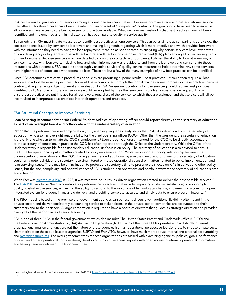FSA has known for years about differences among student loan servicers that result in some borrowers receiving better customer service than others. This should never have been the intent of issuing a set of "competitive" contracts. The goal should have been to ensure that all borrowers have access to the best loan servicing practices available. What we have seen instead is that best practices have not been identified and implemented and minimal attention has been paid to equity in service quality.

To remedy this, FSA must initiate measures to identify best practices among servicers. This can be as simple as comparing, side-by-side, the correspondence issued by servicers to borrowers and making judgments regarding which is more effective and which provides borrowers with the information they need to navigate loan repayment. It can be as sophisticated as analyzing why certain servicers have lower rates of loan delinquency or higher rates of enrollment and re-enrollment in income-driven repayment (IDR) plans among all or certain segments of their borrowers. Because servicers maintain detailed data on their contacts with borrowers, FSA has the ability to look at every way a servicer interacts with borrowers, including how and when information was provided to and from the borrower, and can correlate those interactions with outcomes. FSA could also thoroughly examine servicers' quality control measures to help determine why some servicers have higher rates of compliance with federal policies. These are but a few of the many examples of how best practices can be identified.

Once FSA determines that certain procedures or policies are producing superior results – best practices – it could then require all loan servicers to adopt these same practices. This would be accomplished through the formal change request process so these practices become contractual requirements subject to audit and evaluation by FSA. Subsequent contracts for loan servicing would require best practices identified by FSA at one or more loan servicers would be adopted by the other servicers through a no-cost change request. This will ensure best practices are put in place for all borrowers, regardless of the servicer to which they are assigned, and that servicers will all be incentivized to incorporate best practices into their operations and practices.

#### FSA Structural Changes to Improve Servicing

Loan Servicing Recommendation #5: Federal Student Aid's chief operating officer should report directly to the secretary of education as part of an oversight board and collaborate with the undersecretary of education.

Rationale: The performance-based organization (PBO) enabling language clearly states that FSA takes direction from the secretary of education, who also has oversight responsibility for the chief operating officer (COO). Other than the president, the secretary of education is the only one who can terminate the COO's employment.<sup>2</sup> Even though Congress intended for the COO to be directly accountable to the secretary of education, in practice the COO has often reported through the Office of the Undersecretary. While the Office of the Undersecretary is responsible for postsecondary education, its focus is on policy. The secretary of education is also advised to consult the COO for operational input in matters related to policy implementation.<sup>3</sup> While we support a working relationship between the undersecretary of education and the COO, having an unintended additional layer in the direct reporting line to the secretary of education could run a potential risk of the secretary receiving filtered or muted operational counsel on matters related to policy implementation and loan servicing issues. There may be an inclination to protect the secretary's time to preserve their focus on K-12 initiatives and other policy issues, but the size, complexity, and societal impact of FSA's student loan operations and portfolio warrant the secretary of education's time and attention.

When FSA was [created as a PBO](https://govinfo.library.unt.edu/npr/library/pbo/hcrsfapbo.html) in 1998, it was meant to be "a results-driven organization created to deliver the best possible services." The [FSA PBO](https://govinfo.library.unt.edu/npr/library/news/pbofact.html) was to be "held accountable for performance objectives that include: improving customer satisfaction; providing high quality, cost-effective services; enhancing the ability to respond to the rapid rate of technological change; implementing a common, open, integrated system for student financial aid delivery; and providing complete, accurate and timely data to ensure program integrity."

The PBO model is based on the premise that government agencies can be results driven, given additional flexibility often found in the private sector, and deliver consistently outstanding service to stakeholders. In the private sector, companies are accountable to their customers and to their partners. A large corporation is required to have a board of directors that guides its strategic direction and provides oversight of the performance of senior leadership.

FSA is one of three PBOs in the federal government, which also includes The United States Patent and Trademark Office (USPTO) and the Federal Aviation Administration's (FAA) Air Traffic Organization (ATO). Each of the three PBOs operates with a distinctly different organizational mission and function, but the nature of these agencies from an operational perspective led Congress to impose private sector characteristics on these public sector agencies. USPTO and FAA ATO, however, have much more robust internal and external accountability and [oversight structures.](https://www.nasfaa.org/uploads/documents/NASFAA_FSA_Report.pdf) The oversight committees at these organizations are tasked with examining agencies' policies, goals, performance, budget, and other operational considerations; developing substantive annual reports with open access to internal operational information; and having Senate-confirmed COOs or committees.

2 See the Higher Education Act of 1965, as amended., Sec. 141(d)(3), https://www.govinfo.gov/content/pkg/COMPS-765/pdf/COMPS-765.pdf 3 ibid.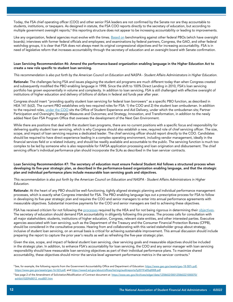Today, the FSA chief operating officer (COO) and other senior FSA leaders are not confirmed by the Senate nor are they accountable to students, institutions, or taxpayers. As designed in statute, the FSA COO reports directly to the secretary of education, but according to multiple government oversight reports,<sup>4</sup> this reporting structure does not appear to be increasing accountability or leading to improvements.

Like any organization, federal agencies must evolve with the times. [Based on](https://www.nasfaa.org/uploads/documents/NASFAA_FSA_Report.pdf) benchmarking against other federal PBOs (which have oversight boards); interviews with former federal officials and employees; and examinations by federal partners, Congress, the GAO, and other federal watchdog groups, it is clear that FSA does not always meet its original congressional objectives and for increasing accountability. FSA is in need of legislative reform that increases accountability through the secretary of education and an oversight board with Senate confirmation.

#### Loan Servicing Recommendation #6: Amend the performance-based organization enabling language in the Higher Education Act to create a new role specific to student loan servicing.

*This recommendation is also put forth by the American Council on Education and NASPA - Student Affairs Administrators in Higher Education.*

Rationale: The challenges facing FSA and issues plaguing the student aid programs are much different today than when Congress created and subsequently modified the PBO enabling language in 1998. Since the shift to 100% Direct Lending in 2010, FSA's loan servicing portfolio has grown exponentially in volume and complexity. In addition to loan servicing, FSA is still challenged with effective oversight of institutions of higher education and delivery of billions of dollars in federal aid funds year after year.

Congress should insert "providing quality student loan servicing for federal loan borrowers" as a specific PBO function, as described in HEA 141 (b)(2). The current PBO establishes only two required roles for FSA: 1) the COO and 2) the student loan ombudsman. In addition to the required roles, [under the COO](https://www2.ed.gov/about/offices/or/fs/fsa/org-chart.pdf) sits the Office of Student Experience and Aid Delivery, under which the ombudsman sits; Partner Participation and Oversight; Strategic Measures and Outcomes; and Strategy, Innovation, and Transformation, in addition to the newly added Next Gen FSA Program Office that oversees the development of the Next Gen Environment.

While there are positions that deal with the student loan programs, there are no current positions with a specific focus and responsibility for delivering quality student loan servicing, which is why Congress should also establish a new, required role of chief servicing officer. The size, scope, and impact of loan servicing requires a dedicated leader. The chief servicing officer should report directly to the COO. Candidates should be required to have direct experience leading in a complex operating environment, including vendor management, ideally in the financial services field or a related industry, and should be readily available and accountable to the public. The servicing function is much too complex to be led by someone who is also responsible for FAFSA application processing and loan origination and disbursement. The chief servicing officer's individual performance plan should incorporate the SLAs as described in the loan servicer contracts.

#### Loan Servicing Recommendation #7: The secretary of education must ensure Federal Student Aid follows a structured process when developing its five-year strategic plan, as described in the performance-based organization enabling language, and that the strategic plan and individual performance plans include measurable loan servicing goals and objectives.

*This recommendation is also put forth by the American Council on Education and NASPA - Student Affairs Administrators in Higher Education.*

Rationale: At the heart of any PBO should be well-functioning, tightly aligned strategic planning and individual performance management processes, which is exactly what Congress intended for FSA. The PBO enabling language lays out a prescriptive process for FSA to follow in developing its five-year strategic plan and requires the COO and senior managers to enter into annual performance agreements with measurable objectives. Substantial incentive payments for the COO and senior managers are tied to achieving these objectives.

FSA has received criticism for not following the [processes](https://www2.ed.gov/about/offices/list/oig/auditreports/fy2021/a20ga0002.pdf) required by the HEA and for not being rigorous in determining their [objectives.](https://www.nasfaa.org/uploads/documents/draeger_fsa_written_testimony.pdf) The secretary of education should demand FSA accountability in diligently following this process. The process calls for consultation with all major stakeholders: students, institutions of higher education, Congress, relevant state entities, and other interested parties. Executive agencies associated with loan servicing, such as the Department of the Treasury and the Consumer Financial Protection Bureau (CFPB), should be considered in the consultative process. Hearing from and collaborating with this varied stakeholder group about strategy, inclusive of student loan servicing, on an annual basis is critical for achieving sustainable improvement. This annual discussion should include preparing the report to capture the prior year's results as well as refreshing the five-year strategic plan.

Given the size, scope, and impact of federal student loan servicing, clear servicing goals and measurable objectives should be included in the strategic plan. In addition, to enhance FSA's accountability for loan servicing, the COO and any senior manager with loan servicing responsibility should have measurable loan servicing objectives as part of their individual performance plans. To maximize shared accountability, these objectives should mirror the service-level agreement performance metrics in the servicer contracts.<sup>5</sup>

<sup>4</sup> See, for example, the following reports from the Government Accountability Office and Department of Education: https://www.gao.gov/assets/gao-18-587r.pdf, https://www.gao.gov/assets/gao-16-523.pdf, and https://www2.ed.gov/about/offices/list/oig/auditreports/fy2019/a05q0008.pdf

<sup>5</sup> See page 2 of the Amendment of Solicitation/Modification of Contract document at https://www.sec.gov/Archives/edgar/data/1258602/000125860221000070/ exhibit10209d0012\_mod001.htm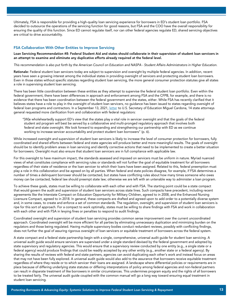Ultimately, FSA is responsible for providing a high-quality loan servicing experience for borrowers in ED's student loan portfolio. FSA decided to outsource the operations of the servicing function for good reasons, but FSA and the COO have the overall responsibility for ensuring the quality of this function. Since ED cannot regulate itself, nor can other federal agencies regulate ED, shared servicing objectives are critical to drive accountability.

#### FSA Collaboration With Other Entities to Improve Servicing

Loan Servicing Recommendation #8: Federal Student Aid and states should collaborate in their supervision of student loan servicers in an attempt to examine and eliminate any duplicative efforts already required at the federal level.

*This recommendation is also put forth by the American Council on Education and NASPA - Student Affairs Administrators in Higher Education.*

Rationale: Federal student loan servicers today are subject to supervision and oversight by multiple federal agencies. In addition, recent years have seen a growing interest among the individual states in providing oversight of servicers and protecting student loan borrowers. Even in those states without specific statutes regarding student loan servicing, the more general consumer protection statutes give all states a role in supervising student loan servicing.

There has been little coordination between these entities as they attempt to supervise the federal student loan portfolio. Even within the federal government, there have been differences in approach and enforcement among FSA and the CFPB, for example, and there is no evidence that there has been coordination between the federal government and the states, either. While FSA has recently clarified that it believes states have a role to play in the oversight of student loan servicers, no guidance has been issued to states regarding oversight of federal loan programs and contractors. In a September 13, 2021, [letter](https://oag.ca.gov/system/files/attachments/press-docs/Preemption Notice Comments 09.13.2021 FOR SUBMISSION.pdf) to U.S. Secretary of Education Miguel Cardona, 14 state attorneys general requested more clarification from and collaboration with federal regulators:

 "[W]e wholeheartedly support ED's view that the states play a vital role in servicer oversight and that the goals of the federal student aid program will best be served by a collaborative and multi-pronged regulatory approach that involves both federal and state oversight. We look forward to expanding and strengthening our partnership with ED as we continue working to increase servicer accountability and protect student loan borrowers" (p. 6).

While increased oversight and supervision of student loan servicers is likely to increase the level of consumer protection for borrowers, fully coordinated and shared efforts between federal and state agencies will produce better and more meaningful results. The goals of oversight should be to identify problem areas in loan servicing and identify corrective actions that need to be implemented to create a better situation for borrowers. Oversight must also ensure that student loan servicers are in full compliance with applicable law.

For this oversight to have maximum impact, the standards assessed and imposed on servicers must be uniform in nature. Myriad nuanced views of what constitutes compliance with servicing rules or standards will not further the goal of equitable treatment for all borrowers regardless of their state of residence or the loan servicer to which their loans have been assigned. Related to this, federal preemption must play a role in this collaboration and be agreed on by all parties. When federal and state policies disagree, for example, if FSA determines a number of times a delinquent borrower should be contacted, but states have conflicting rules about how many times someone who owes money can be contacted, federal law should preempt state law; otherwise we are left with an untenable way to administer a loan program.

To achieve these goals, states must be willing to collaborate with each other and with FSA. The starting point could be a state compact that would govern the audit and supervision of student loan servicers across state lines. Such compacts have precedent, including recent agreements like the Interstate Compact on Education Opportunity for Military Children, agreed to in 2008, and the Enhanced Nursing Licensure Compact, agreed to in 2018. In general, these compacts are drafted and agreed upon to add order to a potentially diverse system and, in some cases, to create and enforce a set of common standards. The regulation, oversight, and supervision of student loan servicers is ripe for this sort of approach. For a compact to work optimally, states must be willing to share findings with FSA and work in collaboration with each other and with FSA in levying fines or penalties to respond to audit findings.

Coordinated oversight and supervision of student loan servicing provides common sense improvement over the current uncoordinated approach. Coordinated oversight will be more efficient for all parties by eliminating unnecessary duplication and minimizing burden on the regulators and those being regulated. Having multiple supervisory bodies conduct redundant reviews, possibly with conflicting findings, does not further the goal of assuring rigorous oversight of loan servicers or equitable treatment of borrowers across the federal system.

A state compact and a federal state partnership begin with a single, comprehensive, universal audit guide for student loan servicing. A universal audit guide would ensure servicers are supervised under a single standard devised by the federal government and adopted by state supervisory and regulatory agencies. This would ensure that a supervisory review conducted by one entity (e.g., a single state or a federal agency) would produce findings that could be readily accepted by any other entity (e.g., another state or a federal agency). By sharing the results of reviews with federal and state partners, agencies can avoid duplicating each other's work and instead focus on areas that may not have been fully explored. A universal audit guide would also add to the assurance that borrowers receive equitable treatment regardless of where they reside or to which servicer their loans are assigned. A landscape where differential policies or requirements are in place because of differing underlying state statutes or differing interpretations of policy among federal agencies and non-federal partners can result in disparate treatment of like borrowers in similar circumstances. This undermines program equity and the rights of all borrowers to be treated fairly. The universal audit guide coupled with the common manual will go a long way toward ensuring equal treatment in student loan servicing.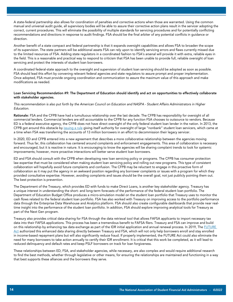A state-federal partnership also allows for coordination of penalties and corrective actions when those are warranted. Using the common manual and universal audit guide, all supervisory bodies will be able to assure their corrective action plans result in the servicer adopting the correct, current procedures. This will eliminate the possibility of multiple standards for servicing procedures and for potentially conflicting recommendations and directions in response to audit findings. FSA should be the final arbiter of any potential conflicts in guidance or direction.

Another benefit of a state compact and federal partnership is that it expands oversight capabilities and allows FSA to broaden the scope of its supervision. The state partners will be additional assets FSA can rely upon to identify servicing errors and flaws currently missed due to the limited resources of FSA. Adding state regulators in a coordinated fashion to FSA's arsenal will provide it with extra, reliable eyes in the field. This is a reasonable and practical way to respond to criticism that FSA has been unable to provide full, reliable oversight of loan servicing and protect the interests of student loan borrowers.

A coordinated federal-state approach to the oversight and supervision of student loan servicing should be adopted as soon as possible. FSA should lead this effort by convening relevant federal agencies and state regulators to assure prompt and proper implementation. Once adopted, FSA must provide ongoing coordination and communication to assure the maximum value of this approach and make modifications as needed.

#### Loan Servicing Recommendation #9: The Department of Education should identify and act on opportunities to effectively collaborate with stakeholder agencies.

*This recommendation is also put forth by the American Council on Education and NASPA - Student Affairs Administrators in Higher Education.*

Rationale: FSA and the CFPB have had a tumultuous relationship over the last decade. The CFPB has responsibility for oversight of all commercial lenders. Commercial lenders are still accountable to the CFPB for any function FSA chooses to outsource to vendors. Because ED is a federal executive agency, the CFPB does not have direct oversight of the only federal student loan lender in the nation. In 2013, the CFPB got around this obstacle by [issuing a rule](https://www.consumerfinance.gov/about-us/newsroom/cfpb-to-oversee-nonbank-student-loan-servicers/) giving itself authority for oversight of large "nonbank" student loan servicers, which came at a time when FSA was transferring the accounts of 13 million borrowers in an effort to decommission their legacy servicer.

In 2020, ED and CFPB entered into a new agreement that describes a more collaborative relationship between the agencies moving forward. Thus far, this collaboration has centered around complaints and enforcement engagements. This area of collaboration is necessary and encouraged, but it is reactive in nature. It is encouraging to know the agencies will be sharing complaint trends to look for systemic improvements; however, more proactive interactions will better serve student loan borrowers.

ED and FSA should consult with the CFPB when developing new loan servicing policy or programs. The CFPB has consumer protection law expertise that must be considered when making student loan servicing policy and rolling out new programs. This type of consistent collaboration will hopefully avoid future complaints and confusion. The CFPB may be reluctant to engage in this proactive form of collaboration as it may put the agency in an awkward position regarding any borrower complaints or issues with a program for which they provided consultative expertise. However, avoiding complaints and issues should be the overall goal, not just publicly pointing them out. The best protection is prevention.

The Department of the Treasury, which provides ED with funds to make Direct Loans, is another key stakeholder agency. Treasury has a unique interest in understanding the short- and long-term forecasts of the performance of the federal student loan portfolio. The Department of Education Budget Office produces a micro-simulation model on the student loan portfolio that Treasury uses to monitor the cash flows related to the federal student loan portfolio. FSA has also worked with Treasury on improving access to the portfolio performance data through the Enterprise Data Warehouse and Analytics platform. FSA should also create configurable dashboards that provide near realtime insight into the performance of the student loan portfolio. In addition, FSA should explore improving analytical tools for Treasury as part of the Next Gen program.

Treasury also provides critical data-sharing for FSA through the data retrieval tool that allows FAFSA applicants to import necessary tax data into their FAFSA applications. This process has been a tremendous benefit to FAFSA filers. Treasury and FSA can improve and build on this relationship by enhancing tax data exchange as part of the IDR initial application and annual renewal process. In 2019, The [FUTURE](https://studentaid.gov/sites/default/files/future-act-fact-sheet.pdf)  [Act](https://studentaid.gov/sites/default/files/future-act-fact-sheet.pdf) authorized this enhanced data sharing directly between Treasury and FSA, which will not only help borrowers enroll and stay enrolled in income-based repayment plans but will also significantly reduce fraud. If properly implemented, the FUTURE Act could also eliminate the need for many borrowers to take action annually to certify their IDR enrollment. It is critical that this work be completed, as it will lead to reduced delinquency and default rates and keep PSLF borrowers on track for loan forgiveness.

These relationships between ED, FSA, and stakeholder agencies, while necessary, are also complex and would require additional research to find the best methods, whether through legislative or other means, for ensuring the relationships are maintained and functioning in a way that best supports these alliances and the borrowers they serve.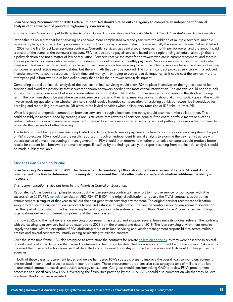#### Loan Servicing Recommendation #10: Federal Student Aid should hire an outside agency to complete an independent financial analysis of the true cost of providing high-quality loan servicing.

#### *This recommendation is also put forth by the American Council on Education and NASPA - Student Affairs Administrators in Higher Education.*

Rationale: It's no secret that loan servicing has become more complicated over the years with the addition of multiple servicers, multiple repayment plans, and special loan programs such as PSLF. Yet, today's payment structure is essentially the same as the one FSA established in 2009 for the first Direct Loan servicing contracts. Currently, servicers get paid a set amount per month per borrower, and the amount paid is based on the status of the borrower's account. FSA has decided to pay all servicers based on a single pricing schedule, although that is a policy decision and not a matter of law or regulation. Servicers receive the most for borrowers who are in current repayment, and there is a sliding scale for borrowers who become progressively more delinquent on monthly payments. Servicers receive reduced payments when loans are in forbearance, deferment, or grace period, as there is no active servicing to be done. Clearly, servicers have incentives for keeping borrowers in good, active repayment status, but there is math that can't be ignored. The current contract provides servicers with a reduced financial incentive to spend resources — both time and money — on trying to cure a loan delinquency, as it could cost the servicer more to attempt to pull a borrower out of loan delinquency than to let the borrower remain delinquent.

Completing a detailed financial analysis of the true cost of loan servicing would allow FSA to place incentives on the right aspects of loan servicing and avoid the possibility that servicers abandon borrowers needing the most critical intervention. The analysis should not only look at the current costs to servicers but also provide estimates on what it would cost to improve service for borrowers in the short- and longterm. The premium should be put where we want servicers to spend their time, meaning payments should align with policy goals. This would involve resolving questions like whether servicers should receive incentive compensation for assisting at-risk borrowers, be incentivized for enrolling and reenrolling borrowers in IDR plans, or be levied penalties when delinquency rates rise or IDR take-up rates fall.

While it is good to engender competition between servicers through allocations, the policy should also incentivize collaboration. This could possibly be accomplished by creating a bonus structure that rewards all servicers equally if the entire portfolio meets or exceeds certain metrics. This would create an environment where all borrowers receive better servicing without putting the onus on the borrower to advocate themselves for better servicing.

The federal student loan programs are complicated, and finding how to use its payment structure to optimize good servicing should be part of FSA's objectives. FSA should use the results reported through an independent financial analysis to examine the payment structure with the assistance of a major accounting or management firm. FSA should then determine whether alternative constructs could produce better results for student loan borrowers and make changes if justified by the findings. Lastly, the report resulting from the financial analysis should be made publicly available.

#### Student Loan Servicing Pricing

Loan Servicing Recommendation #11: The Government Accountability Office should perform a review of Federal Student Aid's procurement function to determine if it is using its procurement flexibility effectively and establish whether additional flexibility is necessary.

*This recommendation is also put forth by the American Council on Education.*

Rationale: FSA has been attempting to reconstruct the loan servicing contracts in an effort to improve service for borrowers with little success since 2017. FSA [canceled](https://www.insidearm.com/news/00043162-ed-cancels-student-loan-servicing-solicit/) solicitation #ED-FSA-17-R-001, the original solicitation to replace the TIVAS contracts, as part of an announcement in August of that year to roll out the next generation servicing environment. The original servicer recompete solicitation sought to reduce the number of loan servicers to one and establish a single brand. The next generation servicing environment solicitation had the goal of consolidating the loan servicing technology into a single system but with multiple "best of class" commercial technology organizations delivering different components of the overall system.

It is now 2022, and the next generation servicing procurement has started and stopped several times since its original release. The contracts with the existing loan servicers had to be extended to 2023 from the planned end date of 2019. The loan servicing environment remains largely the same with the exception of FSA abdicating more of its loan servicing and vendor management responsibilities across multiple entities and several servicers voluntarily exiting or planning to exit the contract.

Over the same time frame, FSA also struggled to restructure the contracts for private [collection agencies](https://www.insidearm.com/news/00047826-end-era-ed-officially-ends-all-collection/), as they were ensnared in several protests and prolonged litigation that caused confusion and frustration for defaulted borrowers and student loan stakeholders. FSA recently informed the private collection agencies that defaulted accounts would now stay with the loan servicers and FSA would no longer use the agencies.

In both of these cases, procurement issues and delays hampered FSA's strategic plans to improve the overall loan servicing environment and resulted in continued issues for student loan borrowers. These procurement problems also cost taxpayers tens of millions of dollars in unplanned contract renewals and outside strategy consultants. Congress should consider asking GAO to review FSA's procurement processes and specifically how FSA is leveraging the flexibilities provided by the HEA. GAO should also comment on whether they believe additional flexibilities are warranted.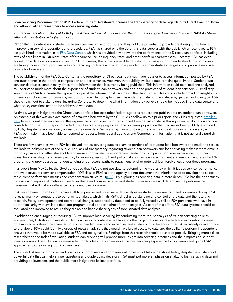#### Loan Servicing Recommendation #12: Federal Student Aid should increase the transparency of data regarding its Direct Loan portfolio and allow qualified researchers to access servicing data.

*This recommendation is also put forth by the American Council on Education, the Institute for Higher Education Policy and NASPA - Student Affairs Administrators in Higher Education.*

Rationale: The databases of student loan servicers are rich and robust, and they hold the potential to provide great insight into how to improve loan servicing operations and procedures. FSA has shared only the tip of this data iceberg with the public. Over recent years, FSA has published information in its [FSA Data Center,](https://studentaid.gov/data-center/student/portfolio) which has provided a window into the performance of the Direct Loan portfolio, including rates of enrollment in IDR plans, rates of forbearance use, delinquency rates, and other portfolio characteristics. Recently, FSA has even added some data on borrowers pursuing PSLF. However, the publicly available data do not tell us enough to understand how borrowers are faring under current program rules and servicing contracts and what policy or identify administrative changes could produce improved results for borrowers.

The establishment of the FSA Data Center as the repository for Direct Loan data has made it easier to access information posted by FSA and track trends in the portfolio composition and performance. However, that publicly available data remains quite limited. Student loan servicer databases contain many times more information than is currently being published. This information could be mined and analyzed to understand much more about the experience of student loan borrowers and about the practices of student loan servicers. A small step would be for FSA to increase the type and scope of the information it provides in the Data Center. This could include providing insight into differences in borrower outcomes by various borrower demographics, such as undergraduate vs. graduate, age, gender, and loan type. FSA should reach out to stakeholders, including Congress, to determine what information they believe should be included in the data center and what policy questions need to be addressed with data.

At times, we gain insight into the Direct Loan portfolio because other federal agencies request and publish data on student loan borrowers. An example of this was an examination of defaulted borrowers by the CFPB. As a follow up to a prior report, the CFPB requested detailed [data](https://www.consumerfinance.gov/about-us/blog/new-data-documents-disturbing-cycle-defaults-struggling-student-loan-borrowers/#:~:text=New%20data%20shows%20a%20staggering,default%20on%20a%20student%20loan.) from student loan servicers on the experience of borrowers who transitioned from defaulted status through loan rehabilitation and loan consolidation. The CFPB report provided insight into a struggling slice of the borrower population that had never been publicly examined by FSA, despite its relatively easy access to the same data. Servicers capture and store this and a great deal more information and, with FSA's permission, have been able to respond to requests from federal agencies and Congress for information that is not generally publicly available.

There are few examples where FSA has delved into its servicing data to examine portions of its student loan borrowers and made the results available to policymakers or the public. This lack of transparency regarding student loan borrowers and loan servicing makes it more difficult for policymakers and other stakeholders to make informed decisions or recommendations to improve borrower experiences with their loans. Improved data transparency would, for example, assist FSA and policymakers in increasing enrollment and reenrollment rates for IDR programs and provide a better understanding of borrowers' paths to repayment relief or potential loan forgiveness under those programs.

In a report from May 2016, the GAO concluded that FSA did not use data to determine the metrics by which it judges servicer performance or how it structures servicer compensation: "Officials [at FSA] said the agency did not document the criteria it used to develop and select the current performance metrics and compensation structure" ( $p. 33$ ). By exploring its servicing data in more depth, FSA has the opportunity to revise and improve all metrics it uses to evaluate and compensate federal student loan servicers and determine the performance measures that will make a difference for student loan borrowers.

FSA would benefit from hiring its own staff to supervise and coordinate data analysis on student loan servicing and borrowers. Today, FSA relies primarily on contractors to perform its analyses, which limits FSA's direct understanding and control of the data and the resulting research. Policy development and operational changes supported by data need to be fully vetted by skilled FSA personnel who have indepth familiarity with available data and program details and can direct further analyses. As part of this effort, FSA data systems should be evaluated and improved to assure they are able to handle these types of sophisticated data analyses.

In addition to encouraging or requiring FSA to improve loan servicing by conducting more robust analysis of its loan servicing policies and practices, FSA should make its student loan servicing database available to other organizations for research and exploration. Groups obtaining access should be screened to assure their legitimacy and expertise, and all data should be anonymized. Alternatively or in addition to the above, FSA could identify a group of research advisors that would have broad access to data and the ability to perform independent analyses that would be made available to FSA and policymakers. Findings from this research should be shared publicly. Bringing more skilled researchers to the task of evaluating student loan servicing will provide more insight into servicing practices and their impacts on student loan borrowers. This will allow for more attention to ideas that can improve the loan servicing experience for borrowers and guide FSA's approaches to the oversight of loan servicers.

The impact of servicing policies and practices on borrowers and borrower outcomes is not fully understood today, despite the existence of powerful data that can help answer questions and guide policy decisions. FSA must put more emphasis on analyzing loan servicing data and providing policymakers and the public more insight into its loan portfolio.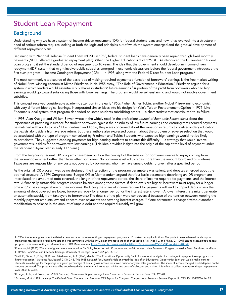# Student Loan Repayment

# Background

Understanding why we have a system of income-driven repayment (IDR) for federal student loans and how it has evolved into a structure in need of serious reform requires looking at both the logic and principles out of which the system emerged and the gradual development of different repayment plans.

Beginning with National Defense Student Loans (NDSL) in 1958, federal student loans have generally been repaid through fixed monthly payments (NDSL offered a graduated repayment plan). When the Higher Education Act of 1965 (HEA) introduced the Guaranteed Student Loan program, it set the standard period of repayment to 10 years. The idea that the government should develop an income-driven repayment (IDR) system that might involve public subsidies emerged in economic discussions before the federal government introduced the first such program — Income Contingent Repayment (ICR) — in 1993, along with the Federal Direct Student Loan program.<sup>6</sup>

The most commonly cited source of the basic idea of making required payments a function of borrowers' earnings is the free-market writing of Nobel Prize-winning economist Milton Friedman. In his 1955 essay, "The Role of Government in Education," Friedman argued for a system in which lenders would essentially buy shares in students' future earnings.<sup>7</sup> A portion of the profit from borrowers who had high earnings would go toward subsidizing those with lower earnings. The program would be self-sustaining and would not involve government subsidies.

This concept received considerable academic attention in the early 1960s,<sup>8</sup> when James Tobin, another Nobel Prize-winning economist with very different ideological leanings, incorporated similar ideas into his design for Yale's Tuition Postponement Option in 1971. Like Friedman's ideal system, that program depended on some students subsidizing others — a characteristic that contributed to its failure.

In 1993, Alan Krueger and William Bowen wrote in the widely read (in the profession) *Journal of Economic Perspectives* about the importance of providing insurance for student borrowers against the possibility of low future earnings and ensuring that required payments be matched with ability to pay.<sup>9</sup> Like Friedman and Tobin, they were concerned about the variation in returns to postsecondary education that exists alongside a high average return. But these authors also expressed concern about the problem of adverse selection that would be associated with the type of program conceived by Friedman and Tobin: Students who expected high earnings would not be likely to participate. They suggested capping payments for high-earning students to counter this difficulty — a strategy that would involve government subsidies for borrowers with low earnings. (This idea provides insight into the origin of the cap at the level of payment under the standard 10-year plan in early IDR plans.)

From the beginning, federal IDR programs have been built on the concept of the subsidy for borrowers unable to repay coming from the federal government rather than from other borrowers. No borrower is asked to repay more than the amount borrowed plus interest. Taxpayers are responsible for any costs not covered by borrowers, who may have unpaid debts forgiven after a specified period.

As the original ICR program was being designed, the interaction of the program parameters was salient, and debates emerged about the optimal structure. A 1994 Congressional Budget Office Memorandum argued that four basic parameters describing an IDR program are interrelated: the amount of debt covered, the length of the repayment period, the share of income required for payments, and the interest rate. A financially sustainable program requires balance among these factors. If debt levels are higher, borrowers must repay for a longer time and/or pay a larger share of their incomes. Reducing the share of income required for payments will lead to unpaid debts unless the amounts of debt covered are lower, borrowers repay for a longer period, or the interest rate is lower. (A lower interest rate might generate an automatic subsidy from taxpayers to borrowers.) The details of the plan were controversial because of the tension between keeping the monthly payment amounts low and concern over payments not covering interest charges.<sup>10</sup> If one parameter is changed without another modification to balance it, the amount of unpaid debt and the required subsidy will grow.

<sup>&</sup>lt;sup>6</sup> In 1986, the federal government initiated a demonstration income-contingent repayment program at 10 postsecondary institutions. The project never achieved much support from students, colleges, or policymakers and was terminated with the 1992 amendments to the Higher Education Act. (Noell, J. and Rhind, C. [1994], *Issues in designing a federal program of income-contingent student loans.* CBO Memorandum. https://www.cbo.gov/sites/default/files/103rd-congress-1993-1994/reports/doc04.pdf)

<sup>7</sup> Friedman, M. (1955)."The role of government in education." In Solo, Robert A., ed., *Economics and public interest.* New Brunswick: Rutgers University Press. Reprinted in Milton, F. (1982). *Capitalism and freedom.* Chicago: University of Chicago Press, 1982, pp. 85-107.

<sup>&</sup>lt;sup>8</sup> Shell, K., Fisher, F., Foley, D. K., and Friedlaender, A. F. (1968, March). "The Educational Opportunity Bank: An economic analysis of a contingent repayment loan program for higher education," *National Tax Journal,* 21(1), 2-45. This 1968 *National Tax Journal* article analyzed the idea of an Educational Opportunity Bank that would make loans to students in exchange for the pledge of a given percentage of annual gross income for a fixed number of years after graduation. The share of income charged would depend on the amount borrowed. The program would be coordinated with the federal income tax, minimizing costs of collection and making it feasible to collect income-contingent repayments over 30 or 40 years.

<sup>9</sup> Krueger, A. B., and Bowen, W. (1993, Summer). "Income-contingent college loans." *Journal of Economic Perspectives,* 7(3), 193-20.

<sup>10</sup> Schenet, M. A. (1995, January). *The Federal Direct Student Loan Program.* CRS Report for Congress. Congressional Research Service. Report No CRS-95-110-EPW,6 Jan 95.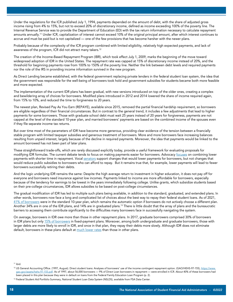Under the regulations for the ICR published July 1, 1994, payments depended on the amount of debt, with the share of adjusted gross income rising from 4% to 15%, but not to exceed 20% of discretionary income, defined as income exceeding 100% of the poverty line. The Internal Revenue Service was to provide the Department of Education (ED) with the tax return information necessary to calculate repayment amounts annually.11 Under ICR, capitalization of interest cannot exceed 10% of the original principal amount, after which interest continues to accrue and must be paid but is not capitalized — one of the few provisions that has become harsher with the newer plans.

Probably because of the complexity of the ICR program combined with limited eligibility, relatively high expected payments, and lack of awareness of the program, ICR did not attract many takers.12

The creation of the Income-Based Repayment Program (IBR), which took effect July 1, 2009, marks the beginning of the move toward widespread adoption of IDR in the United States. The repayment rate was capped at 15% of discretionary income instead of 20%, and the threshold for beginning payments rose from 100% to 150% of the poverty line. Neither the link between debt levels and required payments nor the role of the IRS in providing income information survived in the new program.

As Direct Lending became established, with the federal government replacing private lenders in the federal student loan system, the idea that the government was responsible for the well-being of borrowers took hold and government subsidies for students became both more feasible and more expected.

The implementation of the current IDR plans has been gradual, with new versions introduced on top of the older ones, creating a complex and bewildering array of choices for borrowers. Modified plans introduced in 2012 and 2014 lowered the share of income required again, from 15% to 10%, and reduced the time to forgiveness to 20 years.

The newest plan, Revised Pay As You Earn (REPAYE), available since 2015, removed the partial financial hardship requirement, so borrowers are eligible regardless of their financial circumstances. But in contrast to the general trend, it includes a few adjustments that lead to higher payments for some borrowers. Those with graduate school debt must wait 25 years instead of 20 years for forgiveness, payments are not capped at the level of the standard 10-year plan, and married borrowers' payments are based on the combined income of the spouses even if they file separate income tax returns.

But over time most of the parameters of IDR have become more generous, providing clear evidence of the tension between a financially stable program with limited taxpayer subsidies and generous treatment of borrowers. More and more borrowers face increasing balances resulting from unpaid interest, largely because of the decline in required payments. Moreover, the idea that payments would be linked to the amount borrowed has not been part of later plans.

These straightforward trade-offs, which are rarely discussed explicitly today, provide a useful framework for evaluating proposals for modifying IDR formulas. The current debate tends to focus on making payments easier for borrowers. Advocacy [focuses](https://edtrust.org/resource/jim-crow-debt/) on combining lower payments with shorter time in repayment. Vocal [senators](https://www.durbin.senate.gov/imo/media/doc/Neg Reg student debt relief and protections letter 11.1.21.pdf) support changes that would lower payments for borrowers, but not changes that would reduce public subsidies to borrowers who can afford to repay. But it remains true that, for example, lower payments will lead to fewer borrowers successfully retiring their debts.

And the logic underlying IDR remains the same: Despite the high average return to investment in higher education, it does not pay off for everyone and borrowers need insurance against low incomes. Payments linked to income are more affordable for borrowers, especially because of the tendency for earnings to be lowest in the years immediately following college. Unlike grants, which subsidize students based on their pre-college circumstances, IDR allows subsidies to be based on post-college circumstances.

The gradual modification of IDR has led to multiple such plans being available, in addition to the standard, graduated, and extended plans. In other words, borrowers now face a long and complicated list of choices about the best way to repay their federal student loans. As of 2021, [41% of borrowers](https://studentaid.gov/data-center/student/portfolio) were in the standard 10-year plan, which remains the automatic option if borrowers do not actively choose a different plan. Another 34% are in one of the IDR plans, and 14% are in graduated plans.13 There is little doubt that the array of plans and the bureaucratic barriers to accessing them contribute significantly to the difficulties many borrowers face in successfully navigating the system.

On average, borrowers in IDR owe more than those in other repayment plans. In 2017, graduate borrowers comprised 30% of borrowers in IDR plans but only [15% of borrowers](https://www.cbo.gov/system/files/2020-02/55968-CBO-IDRP.pdf) in fixed-payment plans. Moreover, among both undergraduate and graduate borrowers, those with larger debts are more likely to enroll in IDR, and once in that plan, they repay their debts more slowly. Although IDR does not eliminate default, borrowers in these plans default at [much lower rates](https://www.cbo.gov/system/files/2020-02/55968-CBO-IDRP.pdf) than those in other plans.

11 ibid.

<sup>&</sup>lt;sup>12</sup> US General Accounting Office. (1997, August). Direct student loans: Analyses of borrowers' use of the income contingent repayment option. (GAO/HEHS-97-155), [https://www.](https://www.gao.gov/assets/hehs-97-155.pdf) [gao.gov/assets/hehs-97-155.pdf.](https://www.gao.gov/assets/hehs-97-155.pdf) As of 1997, about 56,000 borrowers — 9% of Direct Loan borrowers in repayment — were enrolled in ICR. About 40% of these borrowers had been placed in this plan because they were in default on loans from the Federal Family Education Loan Program (p. 2).

<sup>13</sup> Federal Student Aid Portfolio Summary, National Student Loan Data System (NSLDS), available from FSA Data Center.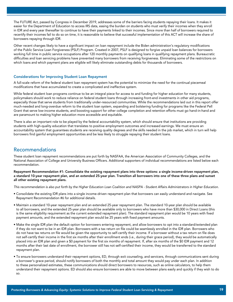The FUTURE Act, passed by Congress in December 2019, addresses some of the barriers facing students repaying their loans. It makes it easier for the Department of Education to access IRS data, easing the burden on students who must verify their incomes when they enroll in IDR and every year thereafter to continue to have their payments linked to their incomes. Since more than half of borrowers required to recertify their incomes fail to do so on time, it is reasonable to believe that successful implementation of this ACT will increase the share of borrowers repaying through IDR.

Other recent changes likely to have a significant impact on loan repayment include the Biden administration's regulatory modifications of the Public Service Loan Forgiveness (PSLF) Program. Created in 2007, PSLF is designed to forgive unpaid loan balances for borrowers working full time in public service occupations after 120 monthly payments on qualifying loans in qualifying repayment plans. Bureaucratic difficulties and loan servicing problems have prevented many borrowers from receiving forgiveness. Eliminating some of the restrictions on which loans and which payment plans are eligible will likely eliminate outstanding debts for thousands of borrowers.

#### Considerations for Improving Student Loan Repayment

A full-scale reform of the federal student loan repayment system has the potential to minimize the need for the continual piecemeal modifications that have accumulated to create a complicated and ineffective system.

While federal student loan programs continue to be an integral piece for access to and funding for higher education for many students, policymakers should work to reduce reliance on federal student loans through increasing front-end investments in other aid programs, especially those that serve students from traditionally under-resourced communities. While the recommendations laid out in this report offer much-needed and long-overdue reform to the student loan system, expanding and bolstering funding for programs like the Federal Pell Grant that serve low-income students, and boosting support for other college completion and retention efforts must go hand-in-hand and are paramount to making higher education more accessible and equitable.

There is also an important role to be played by the federal accountability system, which should ensure that institutions are providing students with high-quality education that translates to positive employment outcomes and increased earnings. We must ensure an accountability system that guarantees students are receiving quality degrees and the skills needed in the job market, which in turn will help borrowers find gainful employment opportunities and be less likely to struggle repaying their student loans.

### Recommendations

These student loan repayment recommendations are put forth by NASFAA, the American Association of Community Colleges, and the National Association of College and University Business Officers. Additional supporters of individual recommendations are listed below each recommendation.

Repayment Recommendation #1: Consolidate the existing repayment plans into three options: a single income-driven repayment plan, a standard 10-year repayment plan, and an extended 25-year plan. Transition all borrowers into one of these three plans and sunset all other existing repayment plans.

*This recommendation is also put forth by the Higher Education Loan Coalition and NASPA - Student Affairs Administrators in Higher Education.*

- Consolidate the existing IDR plans into a single income-driven repayment plan that borrowers can easily understand and navigate. See Repayment Recommendation #6 for additional details.
- Maintain a standard 10-year repayment plan and an extended 25-year repayment plan. The standard 10-year plan should be available to all borrowers, and the extended 25-year plan should be available only to borrowers who have more than \$30,000 in Direct Loans (this is the same eligibility requirement as the current extended repayment plan). The standard repayment plan would be 10 years with fixed payment amounts, and the extended repayment plan would be 25 years with fixed payment amounts.
- Make the single IDR plan the default option for borrowers entering repayment, and allow borrowers to opt into a standard/extended plan if they do not want to be in an IDR plan. Borrowers with a tax return on file could be seamlessly enrolled in the IDR plan. Borrowers who do not have tax returns on file would be given the opportunity to self-certify their income. If a borrower without a tax return on file does not self-certify their income in the first six months after their enrollment ends (i.e., during their grace period), they would be automatically placed into an IDR plan and given a \$0 payment for the first six months of repayment. If, after six months of the \$0 IDR payment and 12 months after their last date of enrollment, the borrower still has not self-certified their income, they would be transferred to the standard repayment plan.
- To ensure borrowers understand their repayment options, ED, through exit counseling, and servicers, through communications sent during a borrower's grace period, should notify borrowers of both the monthly and total amount they would pay under each plan. In addition to these personalized estimates, these communications should direct borrowers to resources, such as online calculators, to help them understand their repayment options. ED should also ensure borrowers are able to move between plans easily and quickly if they wish to do so.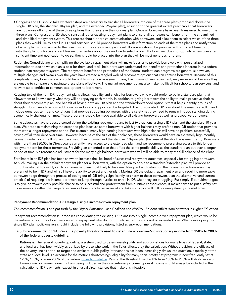• Congress and ED should take whatever steps are necessary to transfer all borrowers into one of the three plans proposed above (the single IDR plan, the standard 10-year plan, and the extended 25-year plan), ensuring to the greatest extent practicable that borrowers are not worse off in one of these three options than they are in their original plan. Once all borrowers have been transferred to one of the three plans, Congress and ED should sunset all other existing repayment plans to ensure all borrowers can benefit from the streamlined and simplified repayment system. This process should prioritize communication with borrowers and allow them to select which of the three plans they would like to enroll in. ED and servicers should provide borrowers with information on each of the three plans and notify them of which plan is most similar to the plan in which they are currently enrolled. Borrowers should be provided with sufficient time to opt into their plan of choice and sent frequent reminders about the deadline to select a plan. If a borrower does not opt into a new plan after sufficient time and notification to do so, they should be placed into the plan that will be most generous for them.

Rationale: Consolidating and simplifying the available repayment plans will make it easier to provide borrowers with personalized information to decide which plan is best for them, and it will help borrowers understand the benefits and protections inherent in our federal student loan repayment system. The repayment benefits and protections of the federal student loan programs are generous; however, multiple changes and tweaks over the years have created a tangled web of repayment options that can confuse borrowers. Because of this complexity, many borrowers who could benefit from certain repayment plans, like income-driven repayment, may never enroll because they are unable to compare and navigate these plans effectively. The myriad repayment plans also make it difficult for schools, loan servicers, and relevant state entities to communicate options to borrowers.

Keeping two of the non-IDR repayment plans allows flexibility and choice for borrowers who would prefer to be in a standard plan that allows them to know exactly what they will be repaying each month. In addition to giving borrowers the ability to make proactive choices about their repayment plan, one benefit of having both an IDR plan and the standard/extended option is that it helps identify groups of struggling borrowers to whom additional subsidies and support can be targeted. The consolidated IDR plan should be easy to enroll in and include generous terms and conditions that provide struggling borrowers with the safety net they need to remain in good standing during economically challenging times. These programs should be made available to all existing borrowers as well as prospective borrowers.

Some advocates have proposed consolidating the existing repayment plans to just two options: a single IDR plan and the standard 10-year plan. We propose maintaining the extended plan because some borrowers with higher balances may prefer a non-IDR option that provides them with a longer repayment period. For example, many high-earning borrowers with high balances will have no problem successfully paying off all their debt over time. However, because of the size of their balances, these borrowers would have an extremely high monthly payment under both the IDR plan (because of their income) and the standard 10-year plan (because of the short repayment term). Borrowers with more than \$30,000 in Direct Loans currently have access to the extended plan, and we recommend preserving access to this longer repayment term for these borrowers. Providing an extended plan that offers the same predictability as the standard plan but over a longer period of time is a reasonable adjustment for the many high-balance borrowers who will still be able to repay the full balance of their loan.

Enrollment in an IDR plan has been shown to increase the likelihood of successful repayment outcomes, especially for struggling borrowers. As such, making IDR the default repayment plan for all borrowers, with the option to opt-in to a standard/extended plan, will provide an upfront safety net to quickly catch borrowers who are most likely to become delinquent and default on their loans. Some borrowers may prefer not to be in IDR and will still have the ability to select another plan. Making IDR the default repayment plan and requiring more savvy borrowers to go through the process of opting out of IDR brings significantly less harm to those borrowers than the alternative (and current practice) of requiring low-income borrowers to jump through hurdles to enroll in IDR when they are struggling. Put simply, if our ultimate goal is to give borrowers every possible chance to be successful and protect them from punitive consequences, it makes sense to put a safety net under everyone rather than require vulnerable borrowers to be aware of and take steps to enroll in IDR during already stressful times.

#### Repayment Recommendation #2: Design a single income-driven repayment plan.

*This recommendation is also put forth by the Higher Education Loan Coalition and NASPA - Student Affairs Administrators in Higher Education.*

Repayment recommendation #1 proposes consolidating the existing IDR plans into a single income-driven repayment plan, which would be the automatic option for borrowers entering repayment who do not opt into either the standard or extended plan. When developing this single IDR plan, policymakers should include the following provisions, listed as sub-recommendations:

#### • Sub-recommendation 2A: Raise the poverty thresholds used to determine a borrower's discretionary income from 150% to 200% of the federal poverty guideline.

Rationale: The federal poverty guideline, a system used to determine eligibility and appropriations for many types of federal, state, and local aid, has been widely scrutinized by those who work in the fields affected by the calculation. Without revision, the efficacy of the poverty line as a tool to target and evaluate public policy interventions has been increasingly drawn into question, especially at the state and local level. To account for the metric's shortcomings, eligibility for many social safety net programs is now frequently set at 125%, 150%, or even 200% of the federal poverty quideline. Raising the threshold used in IDR from 150% to 200% will shield more of low-income borrowers' earnings from being included in their discretionary income. Spousal income should always be included in the calculation of IDR payments, except in unusual circumstances that make this infeasible.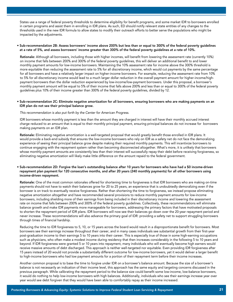States use a range of federal poverty thresholds to determine eligibility for benefit programs, and some market IDR to borrowers enrolled in certain programs and assist them in enrolling in IDR plans. As such, ED should notify relevant state entities of any changes to the thresholds used in the new IDR formula to allow states to modify their outreach efforts to better serve the populations who might be impacted by the adjustments.

#### • Sub-recommendation 2B: Assess borrowers' income above 200% but less than or equal to 300% of the federal poverty guidelines at a rate of 5%, and assess borrowers' income greater than 300% of the federal poverty guidelines at a rate of 10%.

 Rationale: Although all borrowers, including those with higher incomes, will benefit from lowering the assessment rate (currently 10%) on income that falls between 200% and 300% of the federal poverty guidelines, this will deliver an additional benefit to and lower monthly payment amounts for low-income borrowers. Maintaining the 10% assessment rate for income above the 300% threshold is more equitable than reducing the assessment rate to 5% for all discretionary income, which would cut payments by the same percentage for all borrowers and have a relatively larger impact on higher-income borrowers. For example, reducing the assessment rate from 10% to 5% for all discretionary income would lead to a much larger dollar reduction in the overall payment amount for higher-income/highpayment borrowers than the dollar reduction experienced by low-income/low-payment borrowers. Under this proposal, a borrower's monthly payment amount will be equal to 5% of their income that falls above 200% and less than or equal to 300% of the federal poverty guidelines plus 10% of their income greater than 300% of the federal poverty guidelines, divided by 12.

#### • Sub-recommendation 2C: Eliminate negative amortization for all borrowers, ensuring borrowers who are making payments on an IDR plan do not see their principal balance grow.

 *This recommendation is also put forth by the Center for American Progress.*

 IDR borrowers whose monthly payment is less than the amount they are charged in interest will have their monthly accrued interest charge reduced to an amount that is equal to their monthly principal payment, ensuring principal balances do not increase for borrowers making payments on an IDR plan.

 Rationale: Eliminating negative amortization is a well-targeted proposal that would greatly benefit those enrolled in IDR plans. It would provide a back-end subsidy that ensures the low-income borrowers who rely on IDR as a safety net do not face the demoralizing experience of seeing their principal balance grow despite making their required monthly payments. This will incentivize borrowers to continue engaging with the repayment system rather than becoming disconnected altogether. What's more, it is unlikely that borrowers whose monthly payment amounts are consistently less than their interest will successfully repay their debt before receiving forgiveness, so eliminating negative amortization will likely make little difference on the amount repaid to the federal government.

#### • Sub-recommendation 2D: Forgive the loan's outstanding balance after 10 years for borrowers who have had a \$0 income-driven repayment plan payment for 120 consecutive months, and after 20 years (240 monthly payments) for all other borrowers using income-driven repayment.

 Rationale: One of the most common rationales offered for shortening time to forgiveness is that IDR borrowers who are making on-time payments should not have to watch their balances grow for 20 to 25 years, an experience that is undoubtedly demoralizing even if the borrower is on track to eventually receive forgiveness. Rather than shortening the time to forgiveness, we instead propose eliminating negative amortization altogether and have recommended several provisions to reduce monthly payment amounts for low-income borrowers, including shielding more of their earnings from being included in their discretionary income and lowering the assessment rate on income that falls between 200% and 300% of the federal poverty guidelines. Collectively, these recommendations will eliminate balance growth and make IDR payments more manageable for borrowers, addressing the primary factors that have motivated proposals to shorten the repayment period of IDR plans. IDR borrowers will now see their balances go down over the 20-year repayment period and never increase. These recommendations will also advance the primary goal of IDR: providing a safety net to support struggling borrowers through times of financial hardship.

 Reducing the time to IDR forgiveness to 5, 10, or 15 years across the board would result in a disproportionate benefit for borrowers. Most borrowers see their earnings increase throughout their career, and in many cases individuals see substantial growth from their first-year post-graduation income to their earnings 5 to 10 years into their career. This is especially true of those in some high-earning occupations such as physicians, who often make a modest income during residency that then increases considerably in the following 5 to 10 years and beyond. If IDR forgiveness were granted 5 or 10 years into repayment, many individuals who will eventually become high earners would receive massive amounts of debt discharged. This approach is neither well-targeted nor equitable. Even providing IDR forgiveness after 15 years instead of 20 would not provide a substantially different outcome for low-income borrowers, yet it would deliver a larger benefit to high-income borrowers who had low payment amounts for a portion of their repayment term before their income increases.

 Another common proposal is to base the time to forgive under IDR on a borrower's balance amount. Because the size of a borrower's balance is not necessarily an indication of their income level, this approach has the same equity and targeting concerns discussed in the previous paragraph. While calibrating the repayment period to the balance size could benefit some low-income, low-balance borrowers, it would do nothing to help low-income borrowers with high balances. Additionally, individuals who see their earnings increase year over year would see debt forgiven that they would have been able to comfortably repay as their income increased.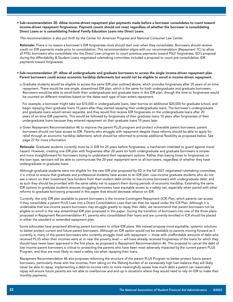• Sub-recommendation 2E: Allow income-driven repayment plan payments made before a borrower consolidates to count toward income-driven repayment forgiveness. Payment counts should not reset regardless of whether the borrower is consolidating Direct Loans or is consolidating Federal Family Education Loans into Direct Loans.

#### *This recommendation is also put forth by the Center for American Progress and National Consumer Law Center.*

Rationale: There is no reason a borrower's IDR forgiveness clock should start over when they consolidate. Borrowers should receive credit on IDR payments made prior to consolidation. This recommendation aligns with our recommendation (Repayment 7C) to allow all FFEL borrowers who consolidate into the Direct Loan program to count previous payments toward PSLF forgiveness. ED's proposal during the Affordability & Student Loans negotiated rulemaking committee included a proposal to count pre-consolidation IDR payments toward forgiveness.

#### • Sub-recommendation 2F: Allow all undergraduate and graduate borrowers to access the single income-driven repayment plan. Parent borrowers could access economic hardship deferments but would not be eligible to enroll in income-driven repayment.

 o Graduate students would be eligible to access the same IDR plan outlined above, which provides forgiveness after 20 years of on-time repayment. There would be one single, streamlined IDR plan, which is the same for both undergraduate and graduate borrowers. Borrowers would be able to enroll both their undergraduate and graduate loans in this IDR plan, though the time to forgiveness would be counted on different timelines based on the dates each type of loan enters repayment.

 For example, a borrower might take out \$10,000 in undergraduate loans, later borrow an additional \$20,000 for graduate school, and begin repaying their graduate loans 10 years after they started repaying their undergraduate loans. The borrower's undergraduate and graduate loans would remain separate, and they would first receive IDR forgiveness on the undergraduate loans after 20 years of on-time IDR payments. This would be followed by forgiveness of their graduate loans 10 years after forgiveness of their undergraduate loans because they entered repayment on their graduate loans 10 years later.

 o Given Repayment Recommendation #6 to improve the parent PLUS program and protect vulnerable parent borrowers, parent borrowers should not have access to IDR. Parents who struggle with repayment despite these reforms should be able to apply for relief through an economic hardship deferment, which should be reformed to provide additional flexibility as proposed below. See page 27 for more information.

 Rationale: Graduate students currently must be in IDR for 25 years before forgiveness, a mechanism intended to guard against moral hazard. However, creating one IDR plan with forgiveness after 20 years for both undergraduate and graduate borrowers is simpler and more straightforward for borrowers trying to understand their repayment options. Rather than basing times to forgiveness on the loan type, servicers will be able to communicate the 20-year repayment term to all borrowers, regardless of whether they have undergraduate or graduate loans.

 Although graduate students were not eligible for the new IDR plan proposed by ED in the fall 2021 negotiated rulemaking committee, it is critical to ensure that graduate and professional students have access to an IDR plan. Low-income graduate students who do not see a return on their investment face burdens from their student debt similar to low-income borrowers with undergraduate debt, and as such they should be provided with the same safety net to support them during periods of economic hardship. Extending the same IDR options to graduate students ensures struggling borrowers have equitable access to a safety net, especially when paired with other reforms to graduate borrowing proposed in this paper that should decrease reliance on IDR.

 Currently, the only IDR plan available to parent borrowers is the Income-Contingent Repayment (ICR) Plan, which parents can access if they consolidate a parent PLUS Loan into a Direct Consolidation Loan that can then be repaid under the ICR Plan. Although it is undeniable that low-income parent borrowers may struggle greatly to repay their debt, we recommend that parent borrowers not be eligible to enroll in the new streamlined IDR plan proposed in this paper. During the transition of borrowers into one of the three plans proposed in Repayment Recommendation #1, parents who consolidated their loans and are currently enrolled in ICR should be placed in either the standard or extended repayment plan.

 Some advocates have proposed allowing parent borrowers to utilize IDR plans. We instead propose more equitable, systemic solutions to better protect current and future parent borrowers. Although an IDR option would not be available to parents moving forward as it currently is, many of the parent borrowers who currently struggle most with repayment — those with unaffordable amounts of debt who received PLUS when their incomes were at or near the poverty level — will have already received forgiveness of the loans for which they should have never been approved in the first place, as proposed in Repayment Recommendation #6. This proposal to cancel the debt of low-income parent borrowers is critical to protecting the parents who have been most adversely impacted by the current parent PLUS Program, and thus are most likely to need a safety net when repaying their loans.

 Repayment Recommendation #6 also proposes reforming the structure of the parent PLUS Program to better protect future parent borrowers, particularly those with low incomes, from taking on the lifelong burden of an excessively high loan balance they will likely never be able to repay. Implementing a debt-to-income ratio to more meaningfully assess how much debt a parent can reasonably repay will ensure future parents are not able to overborrow and end up in situations where they would need to rely on IDR to make their monthly payments.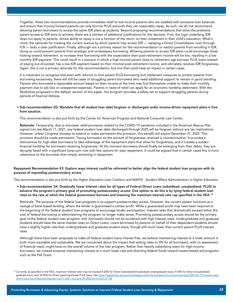Together, these two recommendations provide immediate relief to low-income parents who are saddled with excessive loan balances and ensure that moving forward parents can only borrow PLUS amounts they can reasonably repay. As such, we do not recommend allowing parent borrowers to access the same IDR plans as students. Beyond proposing recommendations that solve the problems parent access to IDR aims to achieve, there are a number of additional justifications for this decision. First, the logic underlying IDR does not apply to parents, whose ability to repay is not a function of the return on their investment in their child's education. What's more, the rationale for creating the current avenue by which parents may access IDR — repaying a Direct Consolidation Loan through ICR — lacks a clear justification. Finally, although not a primary reason for the recommendation to restrict parents from enrolling in IDR, doing so could prevent parents from strategic and unnecessary borrowing. Allowing parents to access IDR plans could encourage those looking toward retirement to increase their borrowing with the expectation their post-retirement income will be low, resulting in a low monthly IDR payment. This could result in a scenario in which a high-income parent close to retirement age borrows PLUS loans instead of paying out-of-pocket, has a low IDR payment based on their minimal post-retirement income, and ultimately receives IDR forgiveness. Again, this is not a primary rationale for this recommendation, but one that could have an impact in certain cases.

 It is important to recognize that even with reforms to limit parent PLUS borrowing and implement measures to protect parents from borrowing excessively, there will still be cases of struggling parent borrowers who need additional support to remain in good standing. Parents who borrowed a reasonable amount based on their income at the time may find themselves unable to make their monthly payment due to job loss or unexpected expenses. Parents in need of relief can apply for an economic hardship deferment. With the flexibilities proposed in the default section of this paper, this program provides a safety net to support struggling parents during periods of financial distress.

#### • Sub-recommendation 2G: Mandate that all student loan debt forgiven or discharged under income-driven repayment plans is free from taxation.

This recommendation is also put forth by the Center for American Progress and National Consumer Law Center.

 Rationale: Temporarily, due to borrower relief provisions related to the COVID-19 pandemic included in the American Rescue Plan signed into law March 11, 2021, any federal student loan debt discharged through 2025 will be forgiven without any tax implications. However, unless Congress chooses to extend or make permanent this provision, this benefit will expire December 31, 2025. This provision should be made permanent. Taxing borrowers on the amount of forgiveness received is counterintuitive. It provides a disincentive for high-debt borrowers to take advantage of the repayment plans that allow for forgiveness, and it creates a sudden financial hardship for borrowers receiving forgiveness. At the moment borrowers should finally be emerging from their debts, they are abruptly faced with a significant lump-sum cost with few options for easy repayment. It could be argued that in certain cases this is more calamitous to the borrower than simply remaining in repayment.

#### Repayment Recommendation #3: Explore ways interest could be reformed to better align the federal student loan program with its purpose of expanding postsecondary access.

*This recommendation is also put forth by the Higher Education Loan Coalition and NASPA - Student Affairs Administrators in Higher Education.*

• Sub-recommendation 3A: Drastically lower interest rates for all types of Federal Direct Loans (subsidized, unsubsidized, PLUS) to advance the program's primary goal of promoting postsecondary access. One option to do this is by tying federal student loan rates to the rate at which the federal government borrows and lowering the maximum interest rate cap specified in the HEA.14

 Rationale: The purpose of the federal loan programs is to support postsecondary access. However, the current system functions as a vestige of bank-based lending, where the lender is guaranteed a certain profit. While a guaranteed profit may have been required at the beginning of the federal student loan programs to encourage lender participation, interest rates that dramatically exceed either the cost of federal borrowing or administering the program no longer make sense. Promoting postsecondary access should be the primary goal of the federal student loan program, and borrowers should not be burdened with high interest rates. Undergraduate and graduate students should have the same interest rates on Direct Loans. Loans borrowed by parents on behalf of their dependent students should have a slightly higher rate than undergraduate and graduate student loans, though still much lower than current parent PLUS interest rates.

 Although there have been proposals to make all federal student loans interest free, we believe maintaining interest at a lower amount is both more equitable and sustainable. We are concerned about the impact that setting rates to 0% for all borrowers, with no assessment of financial need, might have on the overall volume of the loan program. Rather than heavily subsidizing loans for high-income borrowers, we instead propose maintaining interest at a much lower rate and directing federal funds toward means-tested aid programs such as the Pell Grant.

<sup>14</sup> Currently, as specified in the HEA, maximum interest rates may not exceed 8.25% for Direct Subsidized/Unsubsidized undergraduate loans, 9.50% for Direct Unsubsidized graduate loans, and 10.50% for Direct parent/graduate PLUS loans. See https://fsapartners.ed.gov/knowledge-center/library/electronic-announcements/2021-05-19/interest-ratesdirect-loans-first-disbursed-between-july-1-2021-and-june-30-2022-ea-id-loans-21-06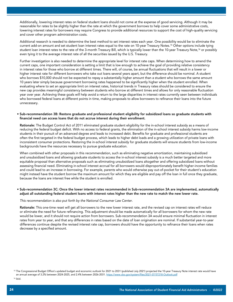Additionally, lowering interest rates on federal student loans should not come at the expense of good servicing. Although it may be reasonable for rates to be slightly higher than the rate at which the government borrows to help cover some administrative costs, lowering interest rates for borrowers may require Congress to provide additional resources to support the cost of high-quality servicing and cover other program administration costs.

 Additional research is needed to determine the best method to set interest rates each year. One possibility would be to eliminate the current add-on amount and set student loan interest rates equal to the rate on 10-year Treasury Notes.15 Other options include tying student loan interest rates to the rate of the 3-month Treasury Bill, which is typically lower than the 10-year Treasury Note,<sup>16</sup> or possibly even tying it to the average interest rate of all the securities issued by the U.S. Treasury.

 Further investigation is also needed to determine the appropriate level for interest rate caps. When determining how to amend the current caps, one important consideration is setting a limit that is low enough to achieve the goal of providing relative consistency in interest rates for those who borrow at different times. There will, of course, be annual fluctuations that will result in a lower or higher interest rate for different borrowers who take out loans several years apart, but the difference should be nominal. A student who borrows \$10,000 should not be expected to repay a substantially higher amount than a student who borrows the same amount 10 years later simply because government borrowing rates happened to be significantly higher when the student enrolled. When evaluating where to set an appropriate limit on interest rates, historical trends in Treasury rates should be considered to ensure the new cap provides meaningful consistency between students who borrow at different times and allows for only reasonable fluctuation year over year. Achieving these goals will help avoid a return to the large disparities in interest rates currently seen between individuals who borrowed federal loans at different points in time, making proposals to allow borrowers to refinance their loans into the future unnecessary.

#### • Sub-recommendation 3B: Restore graduate and professional student eligibility for subsidized loans so graduate students with financial need can access loans that do not accrue interest during their enrollment.

 Rationale: The Budget Control Act of 2011 eliminated graduate student eligibility for the in-school interest subsidy as a means of reducing the federal budget deficit. With no access to federal grants, the elimination of the in-school interest subsidy harms low-income students in their pursuit of an advanced degree and leads to increased debt. Benefits for graduate and professional students are often the first targeted in the federal budget process, which leads to higher debt loads and a growing utilization of private loans with inconsistent consumer protections. Restoring the in-school interest subsidy for graduate students will ensure students from low-income backgrounds have the resources necessary to pursue graduate education.

 When combined with other proposals in this recommendation, such as eliminating negative amortization, maintaining subsidized and unsubsidized loans and allowing graduate students to access the in-school interest subsidy is a much better targeted and more equitable proposal than alternative proposals such as eliminating unsubsidized loans altogether and offering subsidized loans without assessing financial need. Eliminating in-school interest accrual for all borrowers would disproportionately benefit higher-income families and could lead to an increase in borrowing. For example, parents who would otherwise pay out-of-pocket for their student's education might instead have the student borrow the maximum amount for which they are eligible and pay off the loan in full once they graduate, because the loans are interest free while the student is enrolled.

#### • Sub-recommendation 3C: Once the lower interest rates recommended in Sub-recommendation 3A are implemented, automatically adjust all outstanding federal student loans with interest rates higher than the new rate to match the new lower rate.

#### *This recommendation is also put forth by the National Consumer Law Center.*

 Rationale: This one-time reset will get all borrowers to the new lower interest rate, and the revised cap on interest rates will reduce or eliminate the need for future refinancing. This adjustment should be made automatically for all borrowers for whom the new rate would be lower, and it should not require action from borrowers. Sub-recommendation 3A would ensure minimal fluctuation in interest rates from year to year, and that any differences in rates based on the date of loan origination are nominal. If substantial year-to-year differences continue despite the revised interest rate cap, borrowers should have the opportunity to refinance their loans when rates decrease by a specified amount.

<sup>&</sup>lt;sup>15</sup> The Congressional Budget Office's updated budget and economic outlook for 2021 to 2031 (published July 2021) projected the 10-year Treasury Note interest rate would have an annual average of 3.2% between 2024-2025, and 2.4% between 2026-2031. https://www.cbo.gov/system/files/2021-07/57218-Outlook.pdf

<sup>16</sup> ibid.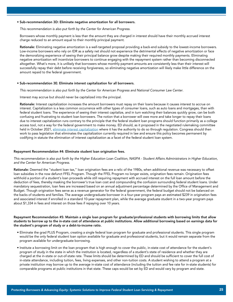#### • Sub-recommendation 3D: Eliminate negative amortization for all borrowers.

 *This recommendation is also put forth by the Center for American Progress.*

 Borrowers whose monthly payment is less than the amount they are charged in interest should have their monthly accrued interest charge reduced to an amount equal to their monthly principal payment.

 Rationale: Eliminating negative amortization is a well-targeted proposal providing a back-end subsidy to the lowest-income borrowers. Low-income borrowers who rely on IDR as a safety net should not experience the detrimental effects of negative amortization or face the demoralizing experience of seeing their principal balance grow despite making their required monthly payments. Eliminating negative amortization will incentivize borrowers to continue engaging with the repayment system rather than becoming disconnected altogether. What's more, it is unlikely that borrowers whose monthly payment amounts are consistently less than their interest will successfully repay their debt before receiving forgiveness, so eliminating negative amortization will likely make little difference on the amount repaid to the federal government.

#### • Sub-recommendation 3E: Eliminate interest capitalization for all borrowers.

 *This recommendation is also put forth by the Center for American Progress and National Consumer Law Center.*

Interest may accrue but should never be capitalized into the principal.

Rationale: Interest capitalization increases the amount borrowers must repay on their loans because it causes interest to accrue on interest. Capitalization is a less common occurrence with other types of consumer loans, such as auto loans and mortgages, than with federal student loans. The experience of seeing their interest capitalize, and in turn watching their balances quickly grow, can be both confusing and frustrating to student loan borrowers. The notion that a borrower will owe more and take longer to repay their loans due to interest capitalization runs contrary to the principle that the federal student loan programs should function primarily as a college access tool, not a way for the federal government to make money. ED should, as it proposed in the negotiated rulemaking committee held in October 2021, [eliminate interest capitalization](https://www2.ed.gov/policy/highered/reg/hearulemaking/2021/3eliminateintcap.pdf) where it has the authority to do so through regulation. Congress should then work to pass legislation that eliminates the capitalization currently required in law and ensure this policy becomes permanent by codifying in statute the elimination of interest capitalization as a facet of the federal student loan system.

#### Repayment Recommendation #4: Eliminate student loan origination fees.

*This recommendation is also put forth by the Higher Education Loan Coalition, NASPA - Student Affairs Administrators in Higher Education, and the Center for American Progress.*

Rationale: Deemed the "student loan tax," loan origination fees are a relic of the 1980s, when additional revenue was necessary to offset loan subsidies in the now defunct FFEL Program. Though the FFEL Program no longer exists, origination fees remain. Origination fees withhold a portion of a student's loan proceeds while still requiring repayment with accrued interest on the full loan amount before the deduction of fees, thereby masking the borrower's true loan cost and compounding the confusion surrounding federal student loans. Under mandatory sequestration, loan fees are increased based on an annual adjustment percentage determined by the Office of Management and Budget. Though origination fees serve as a revenue generator for the federal government, the federal budget should not be balanced on the backs of students and families. The average undergraduate borrower in a four-year program pays an estimated \$239 in origination fees and associated interest if enrolled in a standard 10-year repayment plan, while the average graduate student in a two-year program pays about \$1,334 in fees and interest on those fees if repaying over 10 years.

#### Repayment Recommendation #5: Maintain a single loan program for graduate/professional students with borrowing limits that allow students to borrow up to the in-state cost of attendance at public institutions. Allow additional borrowing based on earnings data for the student's program of study or a debt-to-income ratio.

- Eliminate the grad PLUS Program, creating a single federal loan program for graduate and professional students. This single program would be the only federal student loan option available for graduate and professional students, but it would remain separate from the program available for undergraduate borrowing.
- Institute a borrowing limit on the loan program that is high enough to cover the public, in-state cost of attendance for the student's program of study in the state in which the institution is located, regardless of a student's state of residence and whether they are charged at the in-state or out-of-state rate. These limits should be determined by ED and should be sufficient to cover the full cost of in-state attendance, including tuition, fees, living expenses, and other non-tuition costs. A student wishing to attend a program at a private institution may borrow up to the average in-state cost of attendance (including the tuition and fee rate for in-state students) for comparable programs at public institutions in that state. These caps would be set by ED and would vary by program and state.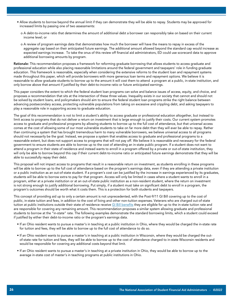- Allow students to borrow beyond the annual limit if they can demonstrate they will be able to repay. Students may be approved for increased limits by passing one of two assessments:
	- o A debt-to-income ratio that determines the amount of additional debt a borrower can responsibly take on based on their current income level; or
	- o A review of program earnings data that demonstrates how much the borrower will have the means to repay in excess of the aggregate cap based on their anticipated future earnings. The additional amount allowed beyond the standard cap would increase as expected earnings increase. To take the onus of this review off financial aid administrators, ED could use scorecard data to approve additional borrowing amounts by program.

Rationale: This recommendation proposes a framework for reforming graduate borrowing that allows students to access graduate and professional education while also placing reasonable limitations around the federal government and taxpayers' role in funding graduate education. This framework is reasonable, especially when considering the extensive reforms to the student loan and repayment systems made throughout this paper, which will provide borrowers with more generous loan terms and repayment options. We believe it is reasonable to allow graduate students to borrow up to the amount it will cost them to attend a program at a public, in-state institution, and only borrow above that amount if justified by their debt-to-income ratio or future anticipated earnings.

This paper considers the extent to which the federal student loan programs can solve and balance issues of access, equity, and choice, and proposes a recommendation that sits at the intersection of these three values. Inequality exists in our society that cannot and should not be solved by student loans, and policymakers should aim to ensure the federal student loan programs strike the right balance between advancing postsecondary access, protecting vulnerable populations from taking on excessive and crippling debt, and asking taxpayers to play a reasonable role in supporting access to graduate education.

The goal of this recommendation is not to limit a student's ability to access graduate or professional education altogether, but instead to limit access to programs that do not deliver a return on investment that is large enough to justify their costs. Our current system promotes access to graduate and professional programs by allowing students to borrow up to the full cost of attendance, but that universal access comes at the cost of allowing some of our most vulnerable students to take on far more debt than they will ever be able to repay. Rather than continuing a system that has brought tremendous harm to many vulnerable borrowers, we believe universal access to all programs should not necessarily be the goal. Instead, we propose a system that enables access to graduate and professional programs to a reasonable extent, but does not support access to programs that will not pay off. We believe it is reasonable and necessary for the federal government to ensure students are able to borrow up to the cost of attending an in-state public program. If a student does not want to attend a program in their state of residence and instead wants to enroll in a program offered by a private or out-of-state institution, they will only be able to borrow beyond this cap if their current debt-to-income ratio or anticipated future earnings demonstrate that they will be able to successfully repay their debt.

This proposal will not impact access to programs that result in a reasonable return on investment, as students enrolling in these programs will be able to borrow up to the full cost of attendance based on the program's earnings data, even if they are attending a private institution or a public institution as an out-of-state student. If a program's cost can be justified by the increase in earnings experienced by its graduates, students will be able to borrow extra to pay for that program. Access will only be limited in cases where a student wants to enroll in a program, either at a private institution or at an out-of-state public institution as a non-resident student, where the return on investment is not strong enough to justify additional borrowing. Put simply, if a student must take on significant debt to enroll in a program, the program's outcomes should be worth what it costs them. This is a protection for both students and taxpayers.

This concept of providing aid up to only a certain amount is not unprecedented, with the Post-9/11 GI Bill covering up to the cost of public, in-state tuition and fees, in addition to the cost of living and other non-tuition expenses. Veterans who are charged out-of-state tuition at public institutions outside their state of residence receive [GI Bill benefits](https://www.va.gov/education/about-gi-bill-benefits/post-9-11/) they are eligible for up to the in-state tuition rate and are responsible for covering any remaining amount. This recommendation proposes a similar system allowing graduate and professional students to borrow at the "in-state" rate. The following examples demonstrate the standard borrowing limits, which a student could exceed if justified by either their debt-to-income ratio or the program's earnings data.

- If an Ohio resident wants to pursue a master's in teaching at a public institution in Ohio, where they would be charged the in-state rate for tuition and fees, they will be able to borrow up to the full cost of attendance to do so.
- If an Ohio resident wants to pursue a master's in teaching at a public institution in Wisconsin, where they would be charged the outof-state rate for tuition and fees, they will be able to borrow up to the cost of attendance charged to in-state Wisconsin residents and would be responsible for covering any additional costs beyond that limit.
- If an Ohio resident wants to pursue a master's in teaching at a private institution in Ohio, they would be able to borrow up to the average in-state cost of master's in teaching programs at public institutions in Ohio.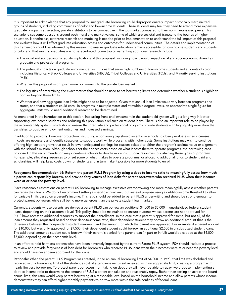It is important to acknowledge that any proposal to limit graduate borrowing could disproportionately impact historically marginalized groups of students, including communities of color and low-income students. These students may feel they need to attend more expensive graduate programs at selective, private institutions to be competitive in the job market compared to their non-marginalized peers. This scenario raises some questions around both moral and market values, some of which are societal and transcend the bounds of higher education. Nonetheless, extensive research and modeling is needed prior to implementation to understand the full impact of this proposal and evaluate how it will affect graduate education access and outcomes for underserved communities. The details and implementation of this framework should be informed by this research to ensure graduate education remains accessible for low-income students and students of color and that existing inequities are not exacerbated. Some topics warranting additional research include:

- The racial and socioeconomic equity implications of this proposal, including how it would impact racial and socioeconomic diversity in graduate and professional programs.
- The potential impacts on graduate enrollment at institutions that serve high numbers of low-income students and students of color, including Historically Black Colleges and Universities (HBCUs), Tribal Colleges and Universities (TCUs), and Minority Serving Institutions (MSIs).
- Whether this proposal might push more borrowers into the private loan market.
- The logistics of determining the exact metrics that should be used to set borrowing limits and determine whether a student is eligible to borrow beyond those limits.
- Whether and how aggregate loan limits might need to be adjusted. Given that annual loan limits would vary between programs and states, and that a students could enroll in programs in multiple states and at multiple degree levels, an appropriate single figure for aggregate limits would need additional research to be determined.

As mentioned in the introduction to this section, increasing front-end investment in the student aid system will go a long way in better supporting low-income students and reducing this population's reliance on student loans. There is also an important role to be played by the accountability system, which should ensure that graduate and professional programs provide students with high-quality education that translates to positive employment outcomes and increased earnings.

In addition to providing borrower protection, instituting a borrowing cap should incentivize schools to closely evaluate when increases in costs are necessary and identify strategies to support worthwhile programs with higher costs. Some institutions may wish to continue offering high-cost programs that result in lower anticipated earnings for reasons related to either the program's societal value or alignment with the school's mission. Although schools set their prices costs based on what it costs them to operate programs, the borrowing caps proposed in this recommendation may incentivize schools to devote more institutional resources to sustaining these types of programs. For example, allocating resources to offset some of what it takes to operate programs, or allocating additional funds to student aid and scholarships, will help keep costs down for students and in turn make it possible for more students to enroll.

#### Repayment Recommendation #6: Reform the parent PLUS Program by using a debt-to-income ratio to meaningfully assess how much a parent can responsibly borrow, and provide forgiveness of loan debt for parent borrowers who received PLUS when their incomes were at or near the poverty level.

Place reasonable restrictions on parent PLUS borrowing to manage excessive overborrowing and more meaningfully assess whether parents can repay their loans. We do not recommend setting a specific annual limit, but instead propose using a debt-to-income threshold to allow for variable limits based on a parent's income. This ratio should be added to parent PLUS underwriting and should be strong enough to protect parent borrowers while still being more generous than the private student loan market.

Currently, students whose parents are denied a parent PLUS can borrow an additional \$4,000 to \$5,000 in unsubsidized federal student loans, depending on their academic level. This policy should be maintained to ensure students whose parents are not approved for PLUS have access to additional resources to support their enrollment. In the case that a parent is approved for some, but not all, of the loan amount they requested based on their debt-to-income ratio, their dependent student may borrow an additional amount that is the difference between the independent student maximum and the amount for which the parent was approved. For example, if a parent applied for \$10,000 but was only approved for \$7,500, their dependent student could borrow an additional \$2,500 in unsubsidized student loans. The additional amount a student could borrow if their parent is denied for a parent loan (in part or in full) would be capped at the \$4,000- \$5,000, depending on their academic level.

In an effort to hold harmless parents who have been adversely impacted by the current Parent PLUS system, FSA should institute a process to review and provide forgiveness of loan debt for borrowers who received PLUS loans when their incomes were at or near the poverty level and should have never been approved for the loans.

Rationale: When the parent PLUS Program was created, it had an annual borrowing limit of \$4,000. In 1993, that limit was abolished and replaced with a borrowing limit of the student's cost of attendance minus aid received, with no aggregate limit, creating a program with nearly limitless borrowing. To protect parent borrowers from taking on debt they will never be able to repay, we propose implementing a debt-to-income ratio to determine the amount of PLUS a parent can take on and reasonably repay. Rather than setting an across-the-board annual limit, this ratio would keep parent borrowing at a reasonable level based on the household income and allow parents whose income demonstrates they can afford higher monthly payments to borrow more within the safe confines of federal loans.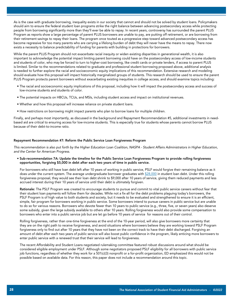As is the case with graduate borrowing, inequality exists in our society that cannot and should not be solved by student loans. Policymakers should aim to ensure the federal student loan programs strike the right balance between advancing postsecondary access while protecting people from borrowing significantly more than they'll ever be able to repay. In recent years, controversy has surrounded the parent PLUS Program as reports show a large percentage of parent PLUS borrowers are unable to pay, are putting off retirement, or are borrowing from their retirement savings to repay their loans. The program once touted as a progressive step toward advanced postsecondary access has become regressive for too many parents who are carrying a lifelong burden of debt they will never have the means to repay. There now exists a necessity to balance predictability of funding for parents with building in protections for borrowers.

While the parent PLUS Program should not exacerbate racial inequity or widen existing disparities in generational wealth, it is also important to acknowledge the potential impact limiting parent borrowing could have on the postsecondary access of low-income students and students of color, who may be forced to turn to higher-cost borrowing, like credit cards or private lenders, if access to parent PLUS is limited. Similar to the recommendations related to graduate and professional student borrowing proposed above, additional analysis is needed to further explore the racial and socioeconomic equity implications of this recommendation. Extensive research and modeling should evaluate how this proposal will impact historically marginalized groups of students. This research should be used to ensure the parent PLUS Program protects parent borrowers without exacerbating existing inequities in college access, and should examine topics including:

- The racial and socioeconomic equity implications of this proposal, including how it will impact the postsecondary access and success of low-income students and students of color.
- The potential impacts on HBCUs, TCUs, and MSIs, including student access and impact on institutional revenues.
- Whether and how this proposal will increase reliance on private student loans.
- How restrictions on borrowing might impact parents who plan to borrow loans for multiple children.

Finally, and perhaps most importantly, as discussed in the background and Repayment Recommendation #5, additional investments in needbased aid are critical to ensuring access for low-income students. This is especially true for students whose parents cannot borrow PLUS because of their debt-to-income ratio.

#### Repayment Recommendation #7: Reform the Public Service Loan Forgiveness Program

*This recommendation is also put forth by the Higher Education Loan Coalition, NASPA - Student Affairs Administrators in Higher Education, and the Center for American Progress.*

• Sub-recommendation 7A: Update the timeline for the Public Service Loan Forgiveness Program to provide rolling forgiveness opportunities, forgiving \$5,000 in debt after each two years of time in public service.

 For borrowers who still have loan debt left after 10 years of working in public service, PSLF would forgive their remaining balance as it does under the current system. The average undergraduate borrower graduates with [\\$28,000](https://research.collegeboard.org/media/pdf/trends-college-pricing-student-aid-2021.pdf) in student loan debt. Under this rolling forgiveness proposal, they would see their loan debt shrink to \$9,000 after 10 years of service, giving them reduced payments and less accrued interest during their 10 years of service until their debt is ultimately forgiven.

 Rationale: The PSLF Program was created to encourage students to pursue and commit to vital public service careers without fear that their student loan payments will follow them for decades. While not a fix-all for the debt problems plaguing today's borrowers, the PSLF Program is of high value to both students and society, but it needs to be evaluated and strengthened to ensure it is an efficient, simple, fair program for borrowers working in public service. Some borrowers intend to pursue careers in public service but are unable to do so for various reasons. Borrowers who devote fewer than 10 years to public service (e.g., three, five, or seven years) also deserve some subsidy, given the large subsidy available to others after 10 years. Rolling forgiveness would also provide some compensation to borrowers who enter into a public service job but are let go before 10 years of service for reasons out of their control.

 Rolling forgiveness, rather than one-time forgiveness at the end of the 10-year period, will also give borrowers more certainty that they are on the right path to receive forgiveness, and avoid situations where borrowers believe they are working toward PSLF Program forgiveness only to find out after 10 years that they have not been on the correct track to have their debt discharged. Forgiving an amount of debt after each two years of public service will also boost public confidence in the program, likely enticing more borrowers to enter public service with a renewed trust that their service will lead to forgiveness.

 The recent Affordability and Student Loans negotiated rulemaking committee featured robust discussions around what should be considered eligible employment under PSLF. Although some negotiators proposed PSLF eligibility for all borrowers with public service job functions, regardless of whether they work for a 501(c)(3) nonprofit or a for-profit organization, ED emphasized this would not be possible based on available data. For this reason, this paper does not include a recommendation around this topic.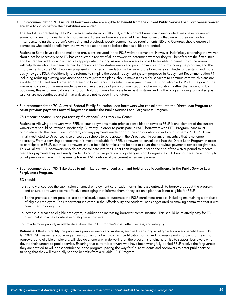#### • Sub-recommendation 7B: Ensure all borrowers who are eligible to benefit from the current Public Service Loan Forgiveness waiver are able to do so before the flexibilities are ended.

 The flexibilities granted by ED's PSLF waiver, introduced in fall 2021, aim to correct bureaucratic errors which may have prevented some borrowers from qualifying for forgiveness. To ensure borrowers are held harmless for errors that weren't their own or for misunderstanding the program's confusing and previously poorly communicated requirements, ED and Congress should ensure all borrowers who could benefit from the waiver are able to do so before the flexibilities are ended.

Rationale: Some have called to make the provisions included in the PSLF waiver permanent. However, indefinitely extending the waiver should not be necessary once ED has conducted a review of all borrowers to determine whether they will benefit from the flexibilities and be credited additional payments as appropriate. Ensuring as many borrowers as possible are able to benefit from the waiver will help those who have been harmed by previous administrative errors and poor communication surrounding the program, and the improvements to the PSLF Program proposed in this recommendation will ensure future borrowers can better understand and more easily navigate PSLF. Additionally, the reforms to simplify the overall repayment system proposed in Repayment Recommendation #1, including reducing existing repayment options to just three plans, should make it easier for servicers to communicate which plans are eligible for PSLF and send targeted outreach to borrowers if they select a repayment plan that is not eligible for PSLF. The goal of the waiver is to clean up the mess made by more than a decade of poor communication and administration. Rather than accepting bad outcomes, this recommendation aims to both hold borrowers harmless from past mistakes and fix the program going forward so past wrongs are not continued and similar waivers are not needed in the future.

#### • Sub-recommendation 7C: Allow all Federal Family Education Loan borrowers who consolidate into the Direct Loan Program to count previous payments toward forgiveness under the Public Service Loan Forgiveness Program.

#### *This recommendation is also put forth by the National Consumer Law Center.*

 Rationale: Allowing borrowers with FFEL to count payments made prior to consolidation towards PSLF is one element of the current waivers that should be retained indefinitely. Currently, in order to participate in PSLF, borrowers with FFEL Program loans must consolidate into the Direct Loan Program, and any payments made prior to the consolidation do not count towards PSLF. PSLF was initially restricted to Direct Loans to encourage schools to participate in the Direct Loan Program, an incentive that is no longer necessary. From a servicing perspective, it is most practicable for FFEL borrowers to consolidate into the Direct Loan Program in order to participate in PSLF, but these borrowers should be held harmless and be able to count their previous payments toward forgiveness. This will allow FFEL borrowers who do not consolidate into the Direct Loan Program prior to the end of the waiver period to receive credit for payments they've already made. Doing so will require statutory changes from Congress, as ED does not have the authority to count previously made FFEL payments toward PSLF outside of the current emergency waiver.

#### • Sub-recommendation 7D: Take steps to minimize borrower confusion and bolster public confidence in the Public Service Loan Forgiveness Program.

#### ED should:

- o Strongly encourage the submission of annual employment certification forms, increase outreach to borrowers about the program, and ensure borrowers receive effective messaging that informs them if they are on a plan that is not eligible for PSLF.
- o To the greatest extent possible, use administrative data to automate the PSLF enrollment process, including maintaining a database of eligible employers. The Department indicated in the Affordability and Student Loans negotiated rulemaking committee that it was committed to doing this.
- o Increase outreach to eligible employers, in addition to increasing borrower communication. This should be relatively easy for ED given that it now has a database of eligible employers.
- o Provide more publicly available data about the PSLF Program's cost, effectiveness, and integrity.

Rationale: Efforts to rectify the program's previous errors and mishaps, such as by ensuring all eligible borrowers benefit from ED's fall 2021 PSLF waiver, encouraging annual submission of employment certification forms, and increasing and improving outreach to borrowers and eligible employers, will also go a long way in delivering on the program's original promise to support borrowers who devote their careers to public service. Ensuring that current borrowers who have been wrongfully denied PSLF receive the forgiveness they are entitled to will boost confidence in the program, paving the way for future students and borrowers to enter public service trusting that they will eventually see the benefits from a reliable PSLF Program.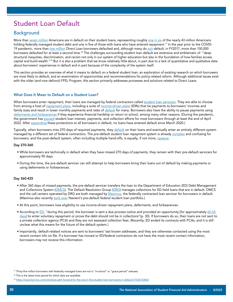# Student Loan Default

## **Background**

More than [seven million](https://www.politico.com/newsletters/weekly-education/2021/10/18/inside-the-biden-administrations-plan-to-restart-student-loan-payments-798263) Americans are in default on their student loans, representing roughly [one in six](https://studentaid.gov/sites/default/files/fsawg/datacenter/library/PortfoliobyLoanStatus.xls) of the nearly 43 million Americans holding federally managed student debt and one in five of those with loans who have entered repayment.<sup>17</sup> In the year prior to the COVID19 pandemic, more than <u>one million</u> Direct Loan borrowers defaulted and, although many do [exit](https://www.aei.org/research-products/report/federal-student-loan-defaults-what-happens-after-borrowers-default-and-why/) default, in FY2017, more than 100,000 borrowers defaulted for at least a second time.18 The challenges surrounding student loan default are extensive and emblematic of "deep structural inequities, discrimination, and racism not only in our system of higher education but also in the foundation of how families access capital and build wealth."<sup>19</sup> But it is also a problem that we know relatively little about, in part due to a lack of quantitative and qualitative data about borrowers' experiences in default and in part because of the complexity of the system itself.

This section provides an overview of what it means to default on a federal student loan, an exploration of existing research on which borrowers are most likely to default, and an examination of opportunities and recommendations for policy-related reform. Although additional issues exist with the older (and now defunct) FFEL Program, this section primarily addresses processes and solutions related to Direct Loans.

#### What Does It Mean to Default on a Student Loan?

When borrowers enter repayment, their loans are managed by federal contractors called [student loan servicers.](https://studentaid.gov/manage-loans/repayment/servicers) They are able to choose from among a host of [repayment plans](https://studentaid.gov/manage-loans/repayment/plans), including a suite of [income-driven plans](https://studentaid.gov/manage-loans/repayment/plans/income-driven) (IDRs) that tie payments to borrowers' incomes and family sizes and result in lower monthly payments and rates of [default](https://www.cbo.gov/system/files/2020-02/55968-CBO-IDRP.pdf) for many. Borrowers also have the ability to pause payments using [deferments and forbearances](https://studentaid.gov/manage-loans/lower-payments/get-temporary-relief) if they experience financial hardship or return to school, among many other reasons. (During the pandemic, the government has [paused](https://studentaid.gov/announcements-events/covid-19) student loan interest, payments, and collection efforts for most borrowers through at least the end of April 2022. After [expanding](https://www.ed.gov/news/press-releases/department-education-announces-expansion-covid-19-emergency-flexibilities-additional-federal-student-loans-default) these protections to all borrowers in default, no loans have entered default since March 2020.)

Typically, when borrowers miss 270 days of required payments, they [default](https://studentaid.gov/manage-loans/default) on their loans and eventually enter an entirely different system managed by a different set of federal contractors. The pre-default student loan repayment system is already [complex](https://www.pewtrusts.org/en/research-and-analysis/reports/2020/05/borrowers-discuss-the-challenges-of-student-loan-repayment) and confusing for borrowers, and the post-default system, often including multiple hand-offs, is equally, if not more, [opaque](https://www.aei.org/research-products/report/federal-student-loan-defaults-what-happens-after-borrowers-default-and-why/).

#### Day 270-360

- While borrowers are technically in default when they have missed 270 days of payments, they remain with their pre-default servicers for approximately 90 days.
- During this time, the pre-default servicer can still attempt to help borrowers bring their loans out of default by making payments or using deferments or forbearances.

#### Day 360-425

- After 360 days of missed payments, the pre-default servicer transfers the loan to the Department of Education (ED) Debt Management and Collections System ([DMCS\)](https://www2.ed.gov/notices/pia/dmcs.pdf). The Default Resolution Group [\(DRG](https://studentaid.gov/manage-loans/default/collections)) manages collections for ED-held loans that are in default. DMCS and the call centers operated by DRG are both managed by [Maximus](https://maximus.com/fsa), the federally contracted loan servicer for borrowers in default. (Maximus also recently [took over](https://www.ed.gov/news/press-releases/statement-federal-student-aid-chief-operating-officer-rich-cordray-regarding-loan-servicer-contracts) Navient's pre-default federal student loan portfolio.)
- At this point, borrowers lose eligibility to use income-driven repayment plans, deferments, and forbearances.
- According to  $ED$ , "during this period, the borrower is sent a due process notice and provided an opportunity [for approximately  $60-65$ ] [days](https://www.gao.gov/products/gao-14-866t)] to enter voluntary repayment or prove the debt should not be in collections"(p. 30). If borrowers do so, their loans are not sent to a private collection agency (PCA) and they are not assessed collection fees. (Recently, ED ended its contracts with PCAs, and it is still unclear what this means for the future of the default system.)
- Importantly, default-related notices are sent to borrowers' last known addresses, and they are otherwise contacted using the most recent contact info on file. If a borrower has moved or ED/federal contractors do not have the most recent contact information, borrowers may not receive this information.

<sup>17</sup> Thirty-five million borrowers with federally managed loans are not in "in-school" or "grace period" statuses.

<sup>&</sup>lt;sup>18</sup> This is the latest time period for which data are available.

<sup>19</sup> https://www.barrons.com/articles/a-path-forward-for-the-one-in-five-student-loan-borrowers-in-default-51636123063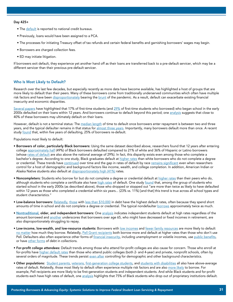#### Day 425+

- The [default](https://studentaid.gov/manage-loans/default) is reported to national credit bureaus.
- Previously, loans would have been assigned to a PCA.
- The processes for initiating Treasury offset of tax refunds and certain federal benefits and garnishing borrowers' wages may begin.
- Borrowers are charged collection fees.
- ED may initiate litigation.

If borrowers exit default, they experience yet another hand off as their loans are transferred back to a pre-default servicer, which may be a different servicer than their previous pre-default servicer.

#### Who Is Most Likely to Default?

Research over the last few decades, but especially recently as more data have become available, has highlighted a host of groups that are more likely to default than their peers. Many of these borrowers come from traditionally underserved communities which often have multiple risk factors and have been [disproportionately](https://www.kff.org/medicare/press-release/the-covid-19-pandemic-has-hit-people-of-color-the-hardest-including-among-people-with-medicare/amp/) bearing the [brunt](https://www.census.gov/library/stories/2020/06/low-income-and-younger-adults-hardest-hit-by-loss-of-income-during-covid-19.html) of the pandemic. As a result, default can exacerbate existing financial insecurity and economic disparities.

[Several papers](https://www.brookings.edu/research/what-accounts-for-gaps-in-student-loan-default-and-what-happens-after/) have highlighted that 17% of first-time students (and [29%](https://www.americanprogress.org/article/new-federal-data-show-student-loan-crisis-african-american-borrowers/) of first-time students who borrowed) who began school in the early 2000s defaulted on their loans within 12 years. And borrowers continue to default beyond this period; one [analysis](https://www.brookings.edu/research/the-looming-student-loan-default-crisis-is-worse-than-we-thought/) suggests that close to 40% of these borrowers may ultimately default on their loans.

However, default is not a terminal status: The [median length](https://americanprogress.org/article/student-loan-defaulters/) of time to default once borrowers enter repayment is between two and three years, and the typical defaulter remains in that status for [almost three years](https://www.aei.org/research-products/report/federal-student-loan-defaults-what-happens-after-borrowers-default-and-why/). Importantly, many borrowers default more than once. A recent study [found](https://www.aei.org/research-products/report/federal-student-loan-defaults-what-happens-after-borrowers-default-and-why/) that, within five years of defaulting, 25% of borrowers re-default.

Populations most likely to default:

- Borrowers of color, particularly Black borrowers: Using the same dataset described above, researchers found that 12 years after entering college [approximately half](https://www.americanprogress.org/article/new-federal-data-show-student-loan-crisis-african-american-borrowers/) (49%) of Black borrowers defaulted compared to 21% of white and 36% of Hispanic or Latino borrowers (whose [rates of default](https://americanprogress.org/article/forgotten-faces-student-loan-default/) are also above the national average of 29%). In fact, this disparity exists even among those who complete a bachelor's degree. According to one study, Black graduates default at [higher rates](https://www.brookings.edu/research/the-looming-student-loan-default-crisis-is-worse-than-we-thought/) than white borrowers who do not complete a degree or credential. These trends have [continued](https://americanprogress.org/article/continued-student-loan-crisis-black-borrowers/) over time and the gap in rates of default by race [remains significant](https://www.brookings.edu/research/what-accounts-for-gaps-in-student-loan-default-and-what-happens-after/) even when researchers control for a host of demographic and background factors like income, wealth, and college completion. In addition, American Indian or Alaska Native students also default at [disproportionately high \(41%\)](https://americanprogress.org/article/forgotten-faces-student-loan-default/) rates.
- Noncompleters: Students who borrow for but do not complete a degree or credential default at [higher rates](https://www.acct.org/files/ACCT8152 %28Fault Lines in Borrowing%29v3.pdf) than their peers who do, although students who complete a certificate also have [high rates](https://www.brookings.edu/research/the-looming-student-loan-default-crisis-is-worse-than-we-thought/) of default. One study [found](https://ticas.org/files/pub_files/ticas_default_issue_brief.pdf) that, among the group of students who started school in the early 2000s (as described above), those who dropped or stopped out "are more than twice as likely to have defaulted within 12 years as those who completed a credential within six years... (23% vs. 11%) [and that] this trend is true across all school types and student characteristics."
- Low-balance borrowers: [Relatedly](https://www.acct.org/files/Publications/2017/ACCT_Louisiana_Kentucky_Report_05-04-2017.pdf), [those](https://files.eric.ed.gov/fulltext/ED611020.pdf) with [less than \\$10,000](https://www.brookings.edu/research/the-looming-student-loan-default-crisis-is-worse-than-we-thought/) in debt have the highest default rates, often because they spend short amounts of time in school and do not complete a degree or credential. The typical nondefaulter [borrows](https://americanprogress.org/article/student-loan-defaulters/) approximately twice as much.
- [Nontraditional](https://www.brookings.edu/wp-content/uploads/2015/09/LooneyTextFall15BPEA.pdf), older, and independent borrowers: One [analysis](https://files.eric.ed.gov/fulltext/ED611020.pdf) indicates independent students default at high rates regardless of the amount borrowed and [another](https://www.gao.gov/products/gao-14-866t) underscores that borrowers over age 65, who might have decreased or fixed incomes in retirement, are also disproportionately struggling to repay.
- Low-income, low-wealth, and low-resource students: Borrowers with [low incomes](https://ticas.org/wp-content/uploads/legacy-files/pub_files/casualties_of_college_debt_0.pdf) and [fewer family resources](https://www.brookings.edu/research/what-accounts-for-gaps-in-student-loan-default-and-what-happens-after/) are more likely to default [no matter](https://www.acct.org/files/Publications/2017/ACCT_Louisiana_Kentucky_Report_05-04-2017.pdf) how much they borrow. Relatedly, [Pell Grant recipients](https://files.eric.ed.gov/fulltext/ED611020.pdf) both borrow more and default at higher rates than those who don't use Pell. Defaulters also often experience other forms of [financial insecurity](https://ticas.org/wp-content/uploads/legacy-files/pub_files/casualties_of_college_debt_0.pdf), including unemployment or volatile incomes, use [public benefits,](https://ticas.org/wp-content/uploads/legacy-files/pub_files/casualties_of_college_debt_0.pdf) or have [other forms](https://www.urban.org/sites/default/files/publication/98884/underwater_on_student_debt.pdf) of debt in collections.
- For-profit college attendees: Default trends among those who attend for-profit colleges are also cause for concern. Those who enroll at for-profits have [higher default rates](https://www.brookings.edu/research/the-looming-student-loan-default-crisis-is-worse-than-we-thought/) than those who attend public colleges (both 2- and 4-year) and private, nonprofit schools, often by several orders of magnitude. These trends persist [even after](https://www.brookings.edu/research/what-accounts-for-gaps-in-student-loan-default-and-what-happens-after/) controlling for demographic and other background characteristics.
- Other populations: [Student parents,](https://americanprogress.org/article/student-loan-default-crisis-borrowers-children/) [veterans](https://americanprogress.org/article/forgotten-faces-student-loan-default/), [first-generation college students](https://ticas.org/wp-content/uploads/legacy-files/pub_files/students_at_the_greatest_risk_of_default.pdf), and [students with disabilities](https://americanprogress.org/article/forgotten-faces-student-loan-default/) all also have above-average rates of default. Relatedly, those most likely to default often experience multiple risk factors and are also [more likely](https://files.eric.ed.gov/fulltext/ED611020.pdf) to borrow. For example, Pell recipients are more likely to be first-generation students and independent students. And while Black students and for-profit students each have high rates of default, one [analysis](https://americanprogress.org/article/new-federal-data-show-student-loan-crisis-african-american-borrowers/) highlights that 75% of Black students who drop out of proprietary institutions default.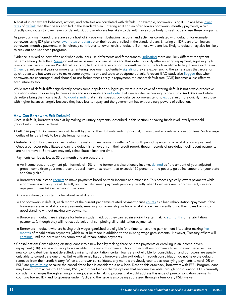A host of in-repayment behaviors, actions, and activities are correlated with default. For example, borrowers using IDR plans have [lower](https://files.eric.ed.gov/fulltext/ED611020.pdf) [rates](https://www.acct.org/files/Publications/2017/ACCT_Louisiana_Kentucky_Report_05-04-2017.pdf) of [default](https://www.cbo.gov/system/files/2020-04/56337-CBO-working-paper.pdf) than their peers enrolled in the standard plan. Entering an IDR plan often lowers borrowers' monthly payments, which directly contributes to lower levels of default. But those who are less likely to default may also be likely to seek out and use these programs.

As previously mentioned, there are also a host of in-repayment behaviors, actions, and activities correlated with default. For example, borrowers using IDR plans have [lower](https://files.eric.ed.gov/fulltext/ED611020.pdf) [rates](https://www.acct.org/files/Publications/2017/ACCT_Louisiana_Kentucky_Report_05-04-2017.pdf) of [default](https://www.cbo.gov/system/files/2020-04/56337-CBO-working-paper.pdf) than their peers enrolled in the standard plan. Entering an IDR plan often lowers borrowers' monthly payments, which directly contributes to lower levels of default. But those who are less likely to default may also be likely to seek out and use these programs.

Evidence is mixed on how often and when defaulters use deferments and forbearances, [indicating](https://www.pewtrusts.org/en/research-and-analysis/reports/2019/11/student-loan-system-presents-repayment-challenges) there are likely different repayment patterns among defaulters. [Some](https://files.eric.ed.gov/fulltext/ED611020.pdf) do not make payments or use pauses and thus default quickly after entering repayment, signaling high levels of financial distress and/or difficulties using, lack of awareness of, or the insufficiency of the tools available to help them avoid default. [Others](https://www.acct.org/files/Publications/2017/ACCT_Louisiana_Kentucky_Report_05-04-2017.pdf) default several years or more after entering repayment, potentially [signaling](https://ticas.org/wp-content/uploads/legacy-files/pub_files/casualties_of_college_debt_0.pdf) they are experiencing the same issues that arose for quick-defaulters but were able to make some payments or used tools to postpone default. A recent GAO study also [flagged](https://www.gao.gov/assets/gao-18-163.pdf) that when borrowers are encouraged (and choose) to use forbearances early in repayment, the cohort default rate (CDR) becomes a less effective accountability tool.

While rates of default differ significantly across some population subgroups, what is predictive of entering default is not always predictive of exiting default. For example, completers and noncompleters [exit default](https://www.aei.org/research-products/report/federal-student-loan-defaults-what-happens-after-borrowers-default-and-why/) at similar rates, according to one study. And Black and white defaulters bring their loans back into [good standing](https://www.brookings.edu/research/what-accounts-for-gaps-in-student-loan-default-and-what-happens-after/) at similar speeds. Low-balance borrowers tend to [exit](https://www.aei.org/research-products/report/federal-student-loan-defaults-what-happens-after-borrowers-default-and-why/) default more quickly than those with higher balances, largely because they have less to repay and the government has extraordinary powers of collection.

#### How Can Borrowers Exit Default?

Once in default, borrowers can exit by making voluntary payments (described in this section) or having funds involuntarily withheld (described in the next section).

- Full loan payoff: Borrowers can exit default by paying their full outstanding principal, interest, and any related collection fees. Such a large outlay of funds is likely to be a challenge for many.
- Rehabilitation: Borrowers can exit default by making nine payments within a 10-month period by entering a rehabilitation agreement. Once a borrower rehabilitates a loan, the default is removed from their credit report, though records of pre-default delinquent payments are not removed. Borrowers may only rehabilitate a loan one time.

Payments can be as low as \$5 per month and are based on:

- o An income-based repayment plan formula of 15% of the borrower's discretionary income, [defined](https://studentaid.gov/manage-loans/default/get-out) as "the amount of your adjusted gross income (from your most recent federal income tax return) that exceeds 150 percent of the poverty guideline amount for your state and family size."
- o Borrowers can instead [request](https://www.studentloanborrowerassistance.org/repayment/repaying-out-of-default/rehabilitation/) to make payments based on their incomes and expenses. This process typically lowers payments while a borrower is working to exit default, but it can also mean payments jump significantly when borrowers reenter repayment, since no repayment plans take expenses into account.
- A few additional, important notes about rehabilitation:
- o For borrowers in default, each month of the current pandemic-related payment pause [counts](https://studentaid.gov/announcements-events/covid-19/default) as a loan rehabilitation "payment" if the borrowers are in rehabilitation agreements, meaning borrowers eligible for a rehabilitation can currently bring their loans back into good standing without making any payments.
- o Borrowers in default are ineligible for federal student aid, but they can regain eligibility after making [six months](https://www.studentloanborrowerassistance.org/repayment/repaying-out-of-default/rehabilitation/) of rehabilitation payments, (although they will not exit default until completing all rehabilitation payments).
- o Borrowers in default who are having their wages garnished are eligible (one time) to have the garnishment lifted after making five [months](https://www.studentloanborrowerassistance.org/repayment/repaying-out-of-default/rehabilitation/) of rehabilitation payments (which must be made in addition to the existing wage garnishments). However, Treasury offsets will [continue](https://www.nclc.org/images/pdf/student_loans/voices-of-despair-seizing-eitc-in-pandemic.pdf) until the borrower has completed all rehabilitation payments.
- Consolidation: Consolidating existing loans into a new loan by making three on-time payments or enrolling in an income-driven repayment (IDR) plan is another option available to defaulted borrowers. This approach allows borrowers to exit default because their new consolidated loan is not defaulted. Similar to rehabilitation, certain loans are not eligible for consolidation and borrowers are usually only able to consolidate one time. Unlike with rehabilitation, borrowers who exit default through consolidation do not have the default removed from their credit history. When a borrower consolidates, any months previously counted as qualifying payments toward IDR or PSLF are [typically lost](https://www.brookings.edu/research/three-ways-the-biden-administration-can-help-families-and-student-loan-borrowers-affected-by-the-pandemic/) because the consolidated loan is considered a new loan. Despite this drawback, borrowers with FFEL Program loans may benefit from access to IDR plans, PSLF, and other loan discharge options that become available through consolidation. ED is currently considering changes through an ongoing negotiated rulemaking process that would address this issue of pre-consolidation payments counting toward IDR and forgiveness under PSLF, and the issue is also being addressed through a temporary PSLF waiver.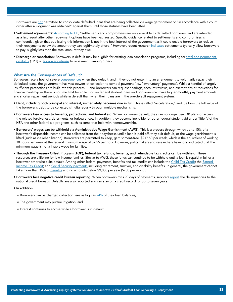Borrowers are [not](https://studentaid.gov/manage-loans/default/get-out) permitted to consolidate defaulted loans that are being collected via wage garnishment or "in accordance with a court order after a judgment was obtained" against them until those statuses have been lifted.

- Settlement agreements: [According to ED,](https://fsapartners.ed.gov/knowledge-center/faqs/loan-servicing-and-collection-frequently-asked-questions) "settlements and compromises are only available to defaulted borrowers and are intended as a last resort after other repayment options have been exhausted. Specific guidance related to settlements and compromises is confidential, given that publicizing this information is not in the best interest of the government as it could enable borrowers to reduce their repayments below the amount they can legitimately afford." However, recent research [indicates](https://www.aei.org/research-products/report/federal-student-loan-defaults-what-happens-after-borrowers-default-and-why/) settlements typically allow borrowers to pay slightly less than the total amount they owe.
- Discharge or cancelation: Borrowers in default may be eligible for existing loan cancelation programs, including for total and permanent [disability](https://studentaid.gov/manage-loans/forgiveness-cancellation/disability-discharge) (TPD) or **[borrower defense](https://studentaid.gov/borrower-defense/)** to repayment, among others.

#### What Are the Consequences of Default?

Borrowers face a host of severe [consequences](https://studentaid.gov/manage-loans/default/collections) when they default, and if they do not enter into an arrangement to voluntarily repay their defaulted loans, the government has vast powers of collection to compel payment (i.e., "involuntary" payments). While a handful of largely insufficient protections are built into this process — and borrowers can request hearings, account reviews, and exemptions or reductions for financial hardship — there is no time limit for collection on federal student loans and borrowers can have higher monthly payment amounts and shorter repayment periods while in default than when their loans are in the pre-default repayment system.

- Debt, including both principal and interest, immediately becomes due in full. This is called "acceleration," and it allows the full value of the borrower's debt to be collected simultaneously through multiple mechanisms.
- Borrowers lose access to benefits, protections, and federal aid. When borrowers default, they can no longer use IDR plans or access the related forgiveness, deferments, or forbearances. In addition, they become ineligible for other federal student aid under Title IV of the HEA and other federal aid programs, such as some that help with homeownership.
- Borrowers' wages can be withheld via Administrative Wage Garnishment (AWG). This is a process through which up to 15% of a borrower's disposable income can be collected from their paychecks until a loan is paid off, they exit default, or the wage garnishment is lifted (such as via rehabilitation). Borrowers are permitted to keep, garnishment-free, \$217.50 per week, which is the equivalent of working 30 hours per week at the federal minimum wage of \$7.25 per hour. However, policymakers and researchers have long indicated that the minimum wage is not a livable wage for families.
- Through the Treasury Offset Program (TOP), federal tax refunds, benefits, and refundable tax credits can be withheld. These resources are a lifeline for low-income families. Similar to AWG, these funds can continue to be withheld until a loan is repaid in full or a borrower otherwise exits default. Among other federal payments, benefits and tax credits can include the [Child Tax Credit;](https://library.nclc.org/starting-july-15-protecting-monthly-child-tax-credit-payments-creditors) the Earned [Income Tax Credit](https://www.nclc.org/images/pdf/student_loans/voices-of-despair-seizing-eitc-in-pandemic.pdf); and [Social Security payments](https://www.gao.gov/products/GAO-17-45) including retirement, survivor, and disability benefits. In general, the government cannot take more than 15% of **[benefits](https://www.studentloanborrowerassistance.org/collections/consequences-of-default-federal/collection-actions/benefits-offsets/)** and no amounts below \$9,000 per year (\$750 per month).
- Borrowers face negative credit bureau reporting. When borrowers miss 90 days of payments, servicers [report](https://studentaid.gov/manage-loans/default) the delinquencies to the national credit bureaus. Defaults are also reported and can stay on a credit record for up to seven years.

#### • In addition:

- o Borrowers can be charged collection fees as high as  $24\%$  of their loan balances,
- o The government may pursue litigation, and
- o Interest continues to accrue while a borrower is in default.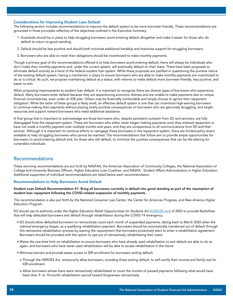#### Considerations for Improving Student Loan Default

The following section includes recommendations to improve the default system to be more borrower-friendly. These recommendations are grounded in three principles reflective of the objectives outlined in the Executive Summary.

- 1. Guardrails should be in place to help struggling borrowers avoid entering default altogether and make it easier for those who do default to return to good standing.
- 2. Default should be less punitive and should both minimize additional hardship and maximize support for struggling borrowers.
- 3. Borrowers who are able to meet their obligations should be incentivized to make monthly payments.

Though a primary goal of the recommendations offered is to help borrowers avoid entering default, there will always be individuals who don't make their monthly payments and, under the current system, will eventually default on their loans. There have been proposals to eliminate default entirely as a facet of the federal student loan system. While these proposals are justified in questioning the punitive nature of the existing default system, having a mechanism in place to ensure borrowers who are able to make monthly payments are incentivized to do so is critical. As such, we propose maintaining default as a status, with reforms to make default more borrower-friendly, less punitive, and easier to exit.

When proposing improvements to student loan default, it is important to recognize there are diverse types of borrowers who experience default. Many borrowers enter default because they are experiencing economic distress and are unable to make payments due to unique financial circumstances, even under an IDR plan. Others may be financially comfortable and simply choose to ignore their repayment obligation. While the latter of these groups is likely small, an effective default system is one that can incentivize high-earning borrowers to continue making their payments without placing overly punitive consequences on borrowers who are genuinely struggling, and target resources and support toward borrowers who need additional assistance.

A final group that is important to acknowledge are those borrowers who, despite persistent outreach from ED and servicers, are fully disengaged from the repayment system. These are borrowers who either never began making payments once they entered repayment or have not made a monthly payment over multiple months and years, and they are unresponsive to all communications from ED and their servicer. Although it is important to continue efforts to reengage these borrowers in the repayment system, there are limited policy levers available to help struggling borrowers who cannot be reached. The recommendations that follow aim to provide ample opportunities for borrowers to avoid entering default and, for those who still default, to minimize the punitive consequences that can be life-altering for vulnerable individuals.

### Recommendations

These servicing recommendations are put forth by NASFAA, the American Association of Community Colleges, the National Association of College and University Business Officers, Higher Education Loan Coalition, and NASPA - Student Affairs Administrators in Higher Education. Additional supporters of individual recommendations are listed below each recommendation.

#### Recommendations to Help Borrowers Avoid Default

Student Loan Default Recommendation #1: Bring all borrowers currently in default into good standing as part of the resumption of student loan repayment following the COVID-related suspension of monthly payments.

*This recommendation is also put forth by the National Consumer Law Center, the Center for American Progress, and New America Higher Education Program.*

ED should use its authority under the Higher Education Relief Opportunities for Students Act [\(HEROES Act](https://www.govinfo.gov/content/pkg/STATUTE-117/pdf/STATUTE-117-Pg904.pdf#page=1)) of 2003 to provide flexibilities that will help defaulted borrowers exit default through rehabilitation during the COVID-19 emergency.

- ED should allow defaulted borrowers to retroactively count each month of suspended payments, dating back to March 2020 when the national emergency began, as a qualifying rehabilitation payment. Borrowers should be automatically transferred out of default through this retroactive rehabilitation process by waiving the requirement that borrowers proactively elect to enter a rehabilitation agreement. Borrowers should be provided with the option to opt-out of retroactively rehabilitating their loans.
- Waive the one-time limit on rehabilitation to ensure borrowers who have already used rehabilitation to exit default are able to do so again, and borrowers who have never used rehabilitation will be able to access rehabilitation in the future.
- Minimize barriers and provide easier access to IDR enrollment for borrowers exiting default.
- o Through the HEROES Act, temporarily allow borrowers, including those exiting default, to self-certify their income and family size for IDR enrollment.
- o Allow borrowers whose loans were retroactively rehabilitated to count the months of paused payments following what would have been their 9- to 10-month rehabilitation period toward forgiveness retroactively.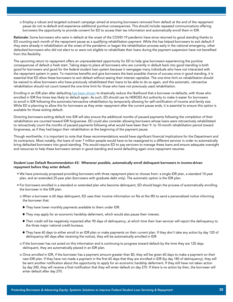o Employ a robust and targeted outreach campaign aimed at ensuring borrowers removed from default at the end of the repayment pause do not re-default and experience additional punitive consequences. This should include repeated communications offering borrowers the opportunity to provide consent for ED to access their tax information and automatically enroll them in IDR.

Rationale: Some borrowers who were in default at the onset of the COVID-19 pandemic have since returned to good standing thanks to ED counting each month of the repayment pause as a qualifying rehabilitation payment. While this has helped borrowers to exit default if they were already in rehabilitation at the onset of the pandemic or began the rehabilitation process early in the national emergency, other defaulted borrowers who did not elect to or were not eligible to rehabilitate their loans during the payment suspension have not benefited from this flexibility.

The upcoming return to repayment offers an unprecedented opportunity for ED to help give borrowers experiencing the punitive consequences of default a fresh start. Taking steps to place all borrowers who are currently in default back into good standing is both good for borrowers and good for the federal student loan system because it reengages many individuals who have not interacted with the repayment system in years. To maximize benefits and give borrowers the best possible chance of success once in good standing, it is essential that ED allow these borrowers to exit default without seeing their interest capitalize. The one-time limit on rehabilitation should be waived to allow borrowers who have previously rehabilitated their loans to be able to do so again, and this automatic, retroactive rehabilitation should not count toward the one-time limit for those who have not previously used rehabilitation.

Enrolling in an IDR plan after defaulting [has been shown](https://files.consumerfinance.gov/f/documents/201705_cfpb_Update-from-Student-Loan-Ombudsman-on-Redefaults.pdf) to drastically reduce the likelihood that a borrower re-defaults, with those who enrolled in IDR five times less likely to default again. As such, ED should use its HEROES Act authority to make it easier for borrowers to enroll in IDR following this automatic/retroactive rehabilitation by temporarily allowing for self-certification of income and family size. While ED is planning to allow this for borrowers as they enter repayment after the current pause ends, it is essential to ensure this option is available for those exiting default.

Directing borrowers exiting default into IDR will also ensure the additional months of paused payments following the completion of their rehabilitation are counted toward IDR forgiveness. ED could also consider allowing borrowers whose loans were retroactively rehabilitated to retroactively count the months of paused payments following what would have been their 9- to 10-month rehabilitation period toward forgiveness, as if they had begun their rehabilitation at the beginning of the payment pause.

Though worthwhile, it is important to note that these recommendations would have significant financial implications for the Department and its contractors. Most notably, the loans of over 7 million people would have to be reassigned to a different servicer in order to automatically bring defaulted borrowers into good standing. This would require ED to pay servicers to manage these loans and ensure adequate oversight and resources to help these borrowers remain in good standing and avoid defaulting again once repayment resumes.

#### Student Loan Default Recommendation #2: Whenever possible, automatically enroll delinquent borrowers in income-driven repayment before they enter default.

- We have previously proposed providing borrowers with three repayment plans to choose from: a single IDR plan, a standard 10-year plan, and an extended 25-year plan (borrowers with graduate debt only). The automatic option is the IDR plan.
- For borrowers enrolled in a standard or extended plan who become delinquent, ED should begin the process of automatically enrolling the borrower in the IDR plan.
	- o When a borrower is 60 days delinquent, ED uses their income information on file at the IRS to send a personalized notice informing the borrower that:
		- $\blacklozenge$  They have lower monthly payments available to them under IDR.
		- $\blacklozenge$  They may apply for an economic hardship deferment, which would also pause their interest.
		- u Their credit will be negatively impacted after 90 days of delinquency, at which time their loan servicer will report the delinquency to the three major national credit bureaus.
		- u They have 60 days to either enroll in an IDR plan or make payments on their current plan. If they don't take any action by day 120 of delinquency (60 days after receiving the notice), they will be automatically enrolled in IDR.
	- o If the borrower has not acted on this information and is continuing to progress toward default by the time they are 120 days delinquent, they are automatically placed in an IDR plan.
	- o Once enrolled in IDR, if the borrower has a payment amount greater than \$0, they will be given 60 days to make a payment on their new IDR plan. If they have not made a payment in the first 60 days that they are enrolled in IDR (by day 180 of delinquency), they will be sent another notification about the opportunity to apply for an economic hardship deferment. If they still have not taken action by day 240, they will receive a final notification that they will enter default on day 270. If there is no action by then, the borrower will enter default after day 270.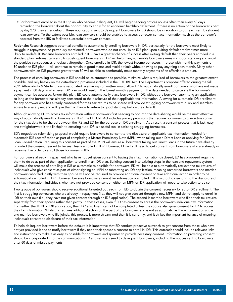• For borrowers enrolled in the IDR plan who become delinquent, ED will begin sending notices no less often than every 60 days reminding the borrower about the opportunity to apply for an economic hardship deferment. If there is no action on the borrower's part by day 270, they enter default. These notifications sent to delinquent borrowers by ED should be in addition to outreach sent by student loan servicers. To the extent possible, loan servicers should be enabled to access borrower contact information (such as the borrower's address) from the IRS to facilitate successful borrower contact.

Rationale: Research suggests potential benefits to automatically enrolling borrowers in IDR, particularly for the borrowers most likely to struggle in repayment. As previously mentioned, borrowers who do not enroll in an IDR plan upon exiting default are five times more likely to re-default. Because borrowers enrolled in IDR have a greater chance of success after exiting default than their peers enrolled in a standard plan, automatically enrolling delinquent borrowers in IDR will help many vulnerable borrowers remain in good standing and avoid the punitive consequences of default altogether. Once enrolled in IDR, the lowest-income borrowers — those with monthly payments of \$0 under an IDR plan — will continue to remain in good status and avoid default without having to pay anything each month. Many other borrowers with an IDR payment greater than \$0 will be able to comfortably make monthly payments of an affordable amount.

The process of enrolling borrowers in IDR should be as automatic as possible, minimize what is required of borrowers to the greatest extent possible, and rely heavily on the data-sharing provisions included in the FUTURE Act. The Department's proposal offered during the fall 2021 Affordability & Student Loans negotiated rulemaking committee would allow ED to automatically enroll borrowers who have not made a payment in 80 days in whichever IDR plan would result in the lowest monthly payment, if the data needed to calculate the borrower's payment can be accessed. Under this plan, ED could automatically place borrowers in IDR, without the borrower submitting an application, so long as the borrower has already consented to the disclosure of their applicable tax information. Allowing for automatic IDR enrollment for any borrower who has already consented for their tax returns to be shared will provide struggling borrowers with quick and seamless access to a safety net and will give them a chance to return to good standing before they default.

Although allowing ED to access tax information without borrowers first needing to opt into the data-sharing would be the most effective way of automatically enrolling borrowers in IDR, the FUTURE Act includes privacy provisions that require borrowers to give active consent for their tax data to be shared between the IRS and ED for the purpose of IDR enrollment. As a result, a consent process that is fast, easy, and straightforward is the linchpin to ensuring auto-IDR is a useful tool in assisting struggling borrowers.

ED's negotiated rulemaking proposal would require borrowers to consent to the disclosure of applicable tax information needed for automatic IDR recertification as part of completing a Master Promissory Note (MPN) when taking out a Direct Loan or applying for Direct Loan Consolidation. Requiring this consent as part of the MPN will ensure all borrowers taking out Direct Loans in the future have already provided the consent needed to be seamlessly enrolled in IDR. However, ED will still need to get consent from borrowers who are already in repayment in order to enroll those borrowers in IDR.

For borrowers already in repayment who have not yet given consent to having their tax information disclosed, ED has proposed requiring them to do so as part of their application to enroll in an IDR plan. Building consent into existing steps in the loan and repayment system will make the process of enrolling in IDR as automatic as possible for borrowers. ED will be able to automatically retrieve the tax returns of individuals who give consent as part of either signing an MPN or submitting an IDR application, meaning unmarried borrowers and married borrowers who filed jointly with their spouse will not be required to provide additional consent or take additional action in order to be automatically enrolled in IDR. However, because borrowers cannot be automatically enrolled in IDR without consenting to the disclosure of their tax information, individuals who have not provided consent on either an MPN or IDR application will need to take action to do so.

Two groups of borrowers should receive additional targeted outreach from ED to obtain the consent necessary for auto-IDR enrollment. The first is struggling borrowers who are already in repayment (i.e., they will not give consent through a new MPN) and do not apply to enroll in IDR on their own (i.e., they have not given consent through an IDR application). The second is married borrowers who filed their tax returns separately from their spouse rather than jointly. In these cases, even if ED has consent to access the borrower's individual tax information from either the MPN or IDR application, their IDR enrollment cannot be completed unless the spouse also gives consent for ED to access their tax information. While this requires additional action on the part of the borrower and is not as automatic as the enrollment of single and married borrowers who file jointly, this process is more streamlined than it is currently, and it strikes the important balance of ensuring individuals consent to disclosure of their tax information.

To help delinquent borrowers before the default, it is imperative that ED conduct proactive outreach to get consent from those who have not yet provided it and to notify borrowers if they need their spouse's consent to enroll in IDR. This outreach should include relevant links and instructions to make it as easy as possible for borrowers and spouses to provide necessary consent. Information on providing consent should be incorporated into the communications ED and servicers send to delinquent borrowers, including the notices sent to borrowers after 60 days of missed payments.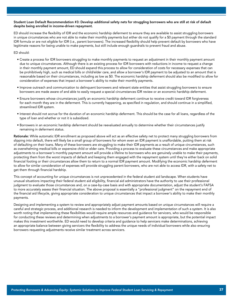#### Student Loan Default Recommendation #3: Develop additional safety nets for struggling borrowers who are still at risk of default despite being enrolled in income-driven repayment.

ED should increase the flexibility of IDR and the economic hardship deferment to ensure they are available to assist struggling borrowers in unique circumstances who are not able to make their monthly payments but either do not qualify for a \$0 payment through the standard IDR formula or are not eligible for IDR (i.e., parent borrowers). The increased flexibility should help prevent default by borrowers who have legitimate reasons for being unable to make payments, but still include enough guardrails to prevent fraud and abuse.

ED should:

- Create a process for IDR borrowers struggling to make monthly payments to request an adjustment in their monthly payment amount due to unique circumstances. Although there is an existing process for IDR borrowers with reductions in income to request a change in their monthly payment amount, ED should expand this process to allow for consideration of costs for necessary expenses that can be prohibitively high, such as medical bills or child/elder care, and allow a borrower's IDR payment to be adjusted to an amount that is reasonable based on their circumstances, including as low as \$0. The economic hardship deferment should also be modified to allow for consideration of expenses that impact a borrower's ability to make their monthly payments.
- Improve outreach and communication to delinquent borrowers and relevant state entities that assist struggling borrowers to ensure borrowers are made aware of and able to easily request a special circumstances IDR review or an economic hardship deferment.
- Ensure borrowers whose circumstances justify an economic hardship deferment continue to receive credit toward IDR forgiveness for each month they are in the deferment. This is currently happening, as specified in regulation, and should continue in a simplified, streamlined IDR system.
- Interest should not accrue for the duration of an economic hardship deferment. This should be the case for all loans, regardless of the type of loan and whether or not it is subsidized.
- Borrowers in an economic hardship deferment should be reevaluated annually to determine whether their circumstances justify remaining in deferment status.

Rationale: While automatic IDR enrollment as proposed above will act as an effective safety net to protect many struggling borrowers from slipping into default, there will likely be a small group of borrowers for whom even an IDR payment is unaffordable, putting them at risk of defaulting on their loans. Many of these borrowers are struggling to make their IDR payments as a result of unique circumstances, such as overwhelming medical bills or expensive child or elder care. Providing a process to evaluate these circumstances and make appropriate adjustments to a borrower's monthly payment amount will provide a lifeline to borrowers who are genuinely unable to make their payments, protecting them from the worst impacts of default and keeping them engaged with the repayment system until they're either back on solid financial footing or their circumstances allow them to return to a normal IDR payment amount. Modifying the economic hardship deferment to allow for similar consideration of expenses will provide struggling parent borrowers, who are not able to access IDR, with a safety net to get them through financial hardship.

This concept of accounting for unique circumstances is not unprecedented in the federal student aid landscape. When students have unusual situations impacting their federal student aid eligibility, financial aid administrators have the authority to use their professional judgment to evaluate those circumstances and, on a case-by-case basis and with appropriate documentation, adjust the student's FAFSA to more accurately assess their financial situation. The above proposal is essentially a "professional judgment" on the repayment end of the financial aid lifecycle, giving appropriate consideration to unique circumstances that impact a borrower's ability to make their monthly payments.

Designing and implementing a system to review and appropriately adjust payment amounts based on unique circumstances will require a careful and strategic process, and additional research is needed to inform the development and implementation of such a system. It is also worth noting that implementing these flexibilities would require ample resources and guidance for servicers, who would be responsible for conducting these reviews and determining when adjustments to a borrower's payment amount is appropriate, but the potential impact makes this investment worthwhile. ED would need to develop criteria and guidance to help servicers make determinations, achieving an appropriate balance between giving servicers the flexibility to address the unique needs of individual borrowers while also ensuring borrowers requesting adjustments receive similar treatment across servicers.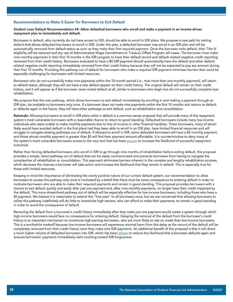#### Recommendations to Make It Easier for Borrowers to Exit Default

#### Student Loan Default Recommendation #4: Allow defaulted borrowers who enroll and make a payment in an income-driven repayment plan to immediately exit default.

Borrowers in default, who currently do not have access to IDR, should be able to enroll in IDR plans. We propose a new path for exiting default that allows defaulted borrowers to enroll in IDR. Under this plan, a defaulted borrower may enroll in an IDR plan and will be automatically removed from default status as soon as they make their first required payment. Once the borrower exits default, their Title IV eligibility will be restored and any use of Administrative Wage Garnishment or Treasury Offset Program will cease. The borrower must make nine monthly payments in their first 10 months in the IDR program to have their default record and default-related negative credit reporting removed from their credit history. Borrowers evaluated to have a \$0 IDR payment should automatically have the default and other defaultrelated negative credit reporting immediately removed from their credit history because they will not be expected to pay any amount during their first 10 months. Providing this pathway out of default for borrowers who make a required IDR payment minimizes barriers that could be especially challenging for borrowers with limited resources.

Borrowers who do not successfully make nine payments within the 10-month period (i.e., miss more than one monthly payment), will return to default status, although they will not have a new default appear on their credit history. The original default will remain on their credit history, and it will appear as if the borrower never exited default at all, similar to borrowers who begin but do not successfully complete loan rehabilitation.

We propose that this new pathway, which allows borrowers to exit default immediately by enrolling in and making a payment through an IDR plan, be available to borrowers only once. If a borrower does not make nine payments within the first 10 months and returns to default, or defaults again in the future, they will have other pathways to exit default, such as rehabilitation and consolidation.

Rationale: Allowing borrowers to enroll in IDR plans while in default is a common-sense proposal that will provide many of the repayment system's most vulnerable borrowers with a reasonable chance to return to good standing. Defaulted borrowers include many low-income individuals who were unable to make monthly payments due to loss of income or other financial hardship. These borrowers, many of whom likely would have avoided default in the first place had they been able to enroll in an IDR plan, have limited financial resources and will struggle to navigate existing pathways out of default. If allowed to enroll in IDR, some defaulted borrowers will have a \$0 monthly payment, and those whose monthly payment is greater than \$0 will find their payment amount affordable. It is counterintuitive to deny many of the system's most vulnerable borrowers access to the very tool that has been [proven](https://www.cbo.gov/publication/56277#_idTextAnchor008) to increase the likelihood of successful repayment outcomes.

Rather than forcing defaulted borrowers who enroll in IDR to go through nine months of rehabilitation before exiting default, this proposal provides a simple, direct pathway out of default that can be easily communicated and prevents borrowers from having to navigate the complexities of rehabilitation or consolidation. This approach eliminates barriers inherent in the complex and lengthy rehabilitation process, which decrease the chances a borrower will take action and increase the likelihood that they remain in default. This is especially true for those with limited resources.

Keeping in mind the importance of eliminating the overly punitive nature of our current default system, our recommendation to allow borrowers to access this pathway only once is motivated by a belief that there must be some consequence to entering default in order to motivate borrowers who are able to make their required payments and remain in good standing. This proposal provides borrowers with a chance to exit default quickly and easily after just one payment and, after nine monthly payments, no longer have their credit impacted by the default. This more streamlined pathway out of default will be especially effective for low-income borrowers, including those who have a \$0 payment. We believe it is reasonable to extend this "free pass" to all borrowers once, but we are concerned that allowing borrowers to utilize this pathway indefinitely will do little to incentivize high earners, who can afford to make their payments, to remain in good standing in order to avoid the consequence of default.

Removing the default from a borrower's credit history immediately after they make just one payment would create a system through which high-income borrowers would face no consequence for entering default. Delaying the removal of the default from the borrower's credit history is an important mechanism to incentivize high-earning borrowers, who are more likely to rely on credit than low-income borrowers. This is a worthwhile tradeoff because low-income borrowers will experience minimal harm from this delay as the record of the default will be completely removed from their credit history once they make nine IDR payments. An additional benefit of this proposal is that it will direct a much higher volume of defaulted borrowers into IDR, which has been [shown](https://www.cbo.gov/publication/56277#_idTextAnchor008) to reduce the likelihood that a borrower defaults again and ensures borrowers' payments immediately start counting toward IDR forgiveness.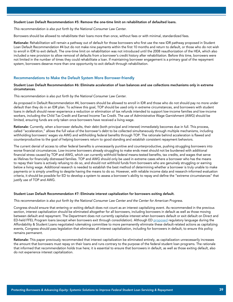#### Student Loan Default Recommendation #5: Remove the one-time limit on rehabilitation of defaulted loans.

*This recommendation is also put forth by the National Consumer Law Center.*

Borrowers should be allowed to rehabilitate their loans more than once, without fees or with minimal, standardized fees.

Rationale: Rehabilitation will remain a pathway out of default for those borrowers who first use the new IDR pathway proposed in Student Loan Default Recommendation #4 but do not make nine payments within the first 10 months and return to default, or those who do not wish to enroll in IDR to exit default. The one-time limit on rehabilitation was not introduced until the 2008 reauthorization of the HEA, which also included a new provision to allow removal of defaults from a borrower's credit history after rehabilitation. Before this time, borrowers were not limited in the number of times they could rehabilitate a loan. If maintaining borrower engagement is a primary goal of the repayment system, borrowers deserve more than one opportunity to exit default through rehabilitation.

#### Recommendations to Make the Default System More Borrower-friendly

#### Student Loan Default Recommendation #6: Eliminate acceleration of loan balances and use collections mechanisms only in extreme circumstances.

#### *This recommendation is also put forth by the National Consumer Law Center.*

As proposed in Default Recommendation #4, borrowers should be allowed to enroll in IDR and those who do not should pay no more under default than they do in an IDR plan. To achieve this goal, TOP should be used only in extreme circumstances, and borrowers with student loans in default should never experience a reduction or elimination of tax refunds intended to support low-income families and low-income workers, including the Child Tax Credit and Earned Income Tax Credit. The use of Administrative Wage Garnishment (AWG) should be limited, ensuring funds are only taken once borrowers have received a living wage.

Rationale: Currently, when a borrower defaults, their debt (both principal and interest) immediately becomes due in full. This process, called "acceleration," allows the full value of the borrower's debt to be collected simultaneously through multiple mechanisms, including withholding borrowers' wages via AWG and withholding federal benefits through TOP. The rationale behind acceleration is flawed and counterproductive to the goal of helping borrowers return to good standing and establish consistent repayment behaviors.

The current denial of access to other federal benefits is unnecessarily punitive and counterproductive, pushing struggling borrowers into worse financial circumstances. Low-income borrowers already struggling to make ends meet should not be burdened with additional financial stress caused by TOP and AWG, which can currently withhold federal means-tested benefits, tax credits, and wages that serve as lifelines for financially distressed families. TOP and AWG should only be used in extreme cases where a borrower who has the means to repay their loans is actively refusing to do so, and should not withhold funds from borrowers who are genuinely struggling or earning below a living wage. Additional research is needed to establish the best method of determining whether a borrower is truly unable to make payments or is simply unwilling to despite having the means to do so. However, with reliable income data and research-informed evaluation criteria, it should be possible for ED to develop a system to assess a borrower's ability to repay and define the "extreme circumstances" that justify use of TOP and AWG.

#### Student Loan Default Recommendation #7: Eliminate interest capitalization for borrowers exiting default.

#### *This recommendation is also put forth by the National Consumer Law Center and the Center for American Progress.*

Congress should ensure that entering or exiting default does not count as an interest capitalizing event. As recommended in the previous section, interest capitalization should be eliminated altogether for all borrowers, including borrowers in default as well as those moving between default and repayment. The Department does not currently capitalize interest when borrowers default or exit default on Direct and ED-held FFEL Program loans (except when borrowers exit through consolidation). Although ED [proposed](https://www2.ed.gov/policy/highered/reg/hearulemaking/2021/3eliminateintcap.pdf) regulatory language during the Affordability & Student Loans negotiated rulemaking committee to more permanently eliminate these default-related actions as capitalizing events, Congress should pass legislation that eliminates all interest capitalization, including for borrowers in default, to ensure this policy remains permanent.

Rationale: This paper previously recommended that interest capitalization be eliminated entirely, as capitalization unnecessarily increases the amount that borrowers must repay on their loans and runs contrary to the purpose of the federal student loan programs. The rationale that informed that recommendation holds true here; it is essential to ensure that borrowers in default, as well as those exiting default, also do not experience interest capitalization.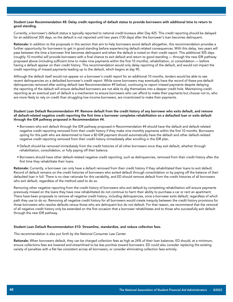#### Student Loan Recommendation #8: Delay credit reporting of default status to provide borrowers with additional time to return to good standing.

Currently, a borrower's default status is typically reported to national credit bureaus after Day 425. This credit reporting should be delayed for an additional 305 days, so the default is not reported until two years (730 days) after the borrower's loan becomes delinquent.

Rationale: In addition to the proposals in this section that aim to help borrowers avoid default altogether, this recommendation provides a further opportunity for borrowers to get in good standing before experiencing default-related consequences. With this delay, two years will pass between the time a borrower first becomes delinquent and when the default is noted on their credit report. This additional 305 days (roughly 10 months) will provide borrowers with a final chance to exit default and return to good standing — through the new IDR pathway proposed above (including sufficient time to make nine payments within the first 10 months), rehabilitation, or consolidation — before having a default appear on their credit history. This recommendation would only delay reporting of the default, and would not impact the credit reporting of missed payments leading up to the default, which begins at day 90.

Although the default itself would not appear on a borrower's credit report for an additional 10 months, lenders would be able to see recent delinquencies on a defaulted borrower's credit report. While some borrowers may eventually have the record of these pre-default delinquencies removed after exiting default (see Recommendation #9 below), continuing to report missed payments despite delaying the reporting of the default will ensure defaulted borrowers are not able to dig themselves into a deeper credit hole. Maintaining credit reporting as an eventual part of default is a mechanism to ensure borrowers who can afford to make their payments but choose not to, who are more likely to rely on credit than struggling low-income borrowers, are incentivized to make their payments.

#### Student Loan Default Recommendation #9: Remove default from the credit history of any borrower who exits default, and remove all default-related negative credit reporting the first time a borrower completes rehabilitation on a defaulted loan or exits default through the IDR pathway proposed in Recommendation #4.

- Borrowers who exit default through the IDR pathway proposed in Recommendation #4 should have the default and default-related negative credit reporting removed from their credit history if they make nine monthly payments within the first 10 months. Borrowers opting for this path who are determined to have a \$0 IDR payment should automatically have the default and other default-related negative credit reporting removed from their credit history immediately after enrolling in the IDR plan.
- Default should be removed immediately from the credit histories of all other borrowers once they exit default, whether through rehabilitation, consolidation, or fully paying off their balance.
- Borrowers should have other default-related negative credit reporting, such as delinquencies, removed from their credit history after the first time they rehabilitate their loans.

Rationale: Currently, a borrower can only have a default removed from their credit history if they rehabilitated their loans to exit default. Record of default remains on the credit histories of borrowers who exited default through consolidation or by paying off the balance of their defaulted loan in full. There is no clear rationale for this variability, and ED should remove default from the credit histories of all borrowers who exit default, regardless of the method used to do so.

Removing other negative reporting from the credit history of borrowers who exit default by completing rehabilitation will ensure payments previously missed on the loans they have now rehabilitated do not continue to harm their ability to purchase a car or rent an apartment. There have been proposals to remove all negative credit history, including delinquencies, once a borrower exits default, regardless of which path they use to do so. Removing all negative credit history for all borrowers would create inequity between the credit history provisions for those borrowers who resolve defaults versus those who are delinquent but do not default. For that reason, we recommend that the removal of all negative credit history only be extended on the first occasion that a borrower rehabilitates and to those who successfully exit default through the new IDR pathway.

#### Student Loan Default Recommendation #10: Streamline, standardize, and reduce collection fees.

*This recommendation is also put forth by the National Consumer Law Center.* 

Rationale: When borrowers default, they can be charged collection fees as high as 24% of their loan balances. ED should, at a minimum, ensure collections fees are lowered and streamlined to be less punitive toward borrowers. ED could also consider replacing the existing variety of penalties with a flat fee consistent across all borrowers, or consider eliminating collection fees entirely.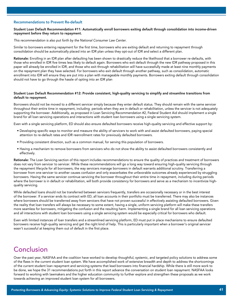#### Recommendations to Prevent Re-default

#### Student Loan Default Recommendation #11: Automatically enroll borrowers exiting default through consolidation into income-driven repayment before they return to repayment.

*This recommendation is also put forth by the National Consumer Law Center.*

Similar to borrowers entering repayment for the first time, borrowers who are exiting default and returning to repayment through consolidation should be automatically placed into an IDR plan unless they opt-out of IDR and select a different plan.

Rationale: Enrolling in an IDR plan after defaulting has been shown to drastically reduce the likelihood that a borrower re-defaults, with those who enrolled in IDR five times less likely to default again. Borrowers who exit default through the new IDR pathway proposed in this paper will already be enrolled in IDR, and those who exit through rehabilitation will have successfully made at least nine monthly payments on the repayment plan they have selected. For borrowers who exit default through another pathway, such as consolidation, automatic enrollment into IDR will ensure they are put into a plan with manageable monthly payments. Borrowers exiting default through consolidation should not have to go through the hassle of opting into an IDR plan

#### Student Loan Default Recommendation #12: Provide consistent, high-quality servicing to simplify and streamline transitions from default to repayment.

Borrowers should not be moved to a different servicer simply because they enter default status. They should remain with the same servicer throughout their entire time in repayment, including periods when they are in default or rehabilitation, unless the servicer is not adequately supporting the borrower. Additionally, as proposed in Loan Servicing Recommendation #2, Federal Student Aid should implement a single brand for all loan servicing operations and interactions with student loan borrowers using a single servicing system.

Even with a single servicing platform, ED should also ensure defaulted borrowers receive high-quality servicing and effective support by:

- Developing specific ways to monitor and measure the ability of servicers to work with and assist defaulted borrowers, paying special attention to re-default rates and IDR reenrollment rates for previously defaulted borrowers.
- Providing consistent direction, such as a common manual, for serving this population of borrowers.
- Having a mechanism to remove borrowers from servicers who do not show the ability to assist defaulted borrowers consistently and effectively.

Rationale: The Loan Servicing section of this report includes recommendations to ensure the quality of practices and treatment of borrowers does not vary from servicer to servicer. While these recommendations will go a long way toward ensuring high-quality servicing through the repayment lifecycle for all borrowers, the way servicers manage borrowers in default warrants additional scrutiny. Transferring a borrower from one servicer to another causes confusion and only exacerbates the unfavorable outcomes already experienced by struggling borrowers. Having the same servicer continue servicing the borrower throughout their entire time in repayment, including during periods where the borrower is in default or rehabilitation, will both provide consistency for borrowers and serve as a mechanism to incentivize highquality servicing.

While defaulted loans should not be transferred between servicers frequently, transfers are occasionally necessary or in the best interest of the borrower. If a servicer ends its contract with ED, all loan accounts in their portfolio must be transferred. There may also be instances where borrowers should be transferred away from servicers that have not proven successful in effectively assisting defaulted borrowers. Given the reality that loan transfers will always be necessary to some extent, having a single, uniform servicing platform will make these transfers more seamless for borrowers, mitigating the confusion and the resulting harm. Implementing a single brand for all loan servicing operations and all interactions with student loan borrowers using a single servicing system would be especially critical for borrowers who default.

Even with limited instances of loan transfers and a streamlined servicing platform, ED must put in place mechanisms to ensure defaulted borrowers receive high-quality servicing and get the right kind of help. This is particularly important when a borrower's original servicer wasn't successful at keeping them out of default in the first place.

# Conclusion

Over the past year, NASFAA and the coalition have worked to develop thoughtful, systemic, and targeted policy solutions to address some of the flaws in the current student loan system. We have accomplished work of extensive breadth and depth to address the shortcomings of the current student loan repayment and servicing systems that lead borrowers into financial hardship. While there is still more work to be done, we hope the 31 recommendations put forth in this report advance the conversation on student loan repayment. NASFAA looks forward to working with lawmakers and the higher education community to further explore and strengthen these proposals as we work towards achieving an improved student loan system for all borrowers.